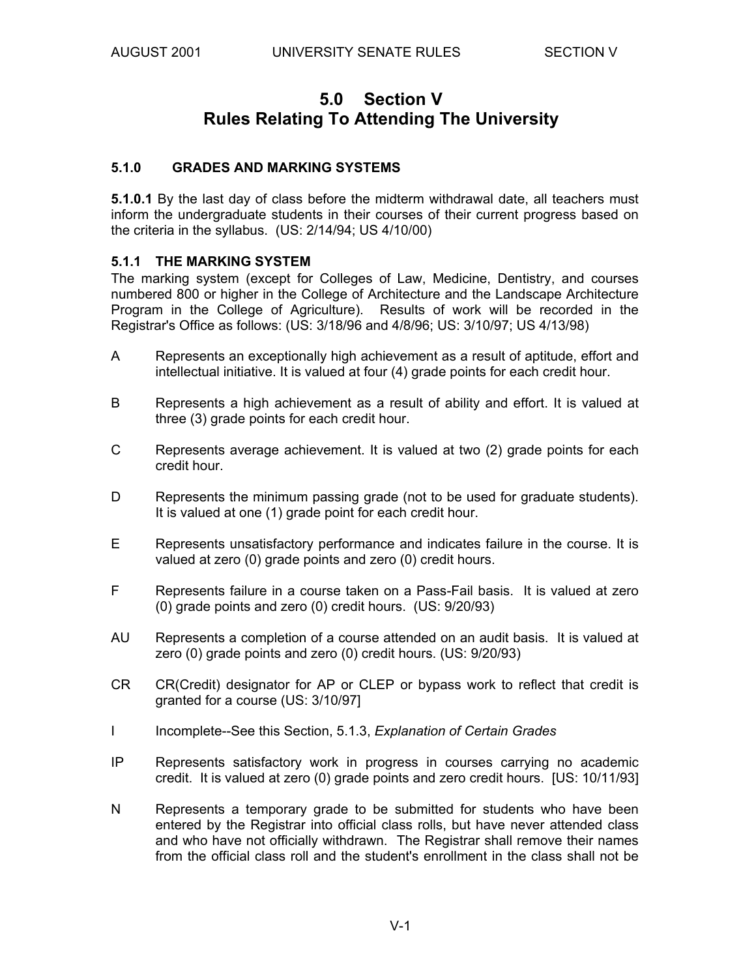# **5.0 Section V Rules Relating To Attending The University**

#### **5.1.0 GRADES AND MARKING SYSTEMS**

**5.1.0.1** By the last day of class before the midterm withdrawal date, all teachers must inform the undergraduate students in their courses of their current progress based on the criteria in the syllabus. (US: 2/14/94; US 4/10/00)

#### **5.1.1 THE MARKING SYSTEM**

The marking system (except for Colleges of Law, Medicine, Dentistry, and courses numbered 800 or higher in the College of Architecture and the Landscape Architecture Program in the College of Agriculture). Results of work will be recorded in the Registrar's Office as follows: (US: 3/18/96 and 4/8/96; US: 3/10/97; US 4/13/98)

- A Represents an exceptionally high achievement as a result of aptitude, effort and intellectual initiative. It is valued at four (4) grade points for each credit hour.
- B Represents a high achievement as a result of ability and effort. It is valued at three (3) grade points for each credit hour.
- C Represents average achievement. It is valued at two (2) grade points for each credit hour.
- D Represents the minimum passing grade (not to be used for graduate students). It is valued at one (1) grade point for each credit hour.
- E Represents unsatisfactory performance and indicates failure in the course. It is valued at zero (0) grade points and zero (0) credit hours.
- F Represents failure in a course taken on a Pass-Fail basis. It is valued at zero (0) grade points and zero (0) credit hours. (US: 9/20/93)
- AU Represents a completion of a course attended on an audit basis. It is valued at zero (0) grade points and zero (0) credit hours. (US: 9/20/93)
- CR CR(Credit) designator for AP or CLEP or bypass work to reflect that credit is granted for a course (US: 3/10/97]
- I Incomplete--See this Section, 5.1.3, *Explanation of Certain Grades*
- IP Represents satisfactory work in progress in courses carrying no academic credit. It is valued at zero (0) grade points and zero credit hours. [US: 10/11/93]
- N Represents a temporary grade to be submitted for students who have been entered by the Registrar into official class rolls, but have never attended class and who have not officially withdrawn. The Registrar shall remove their names from the official class roll and the student's enrollment in the class shall not be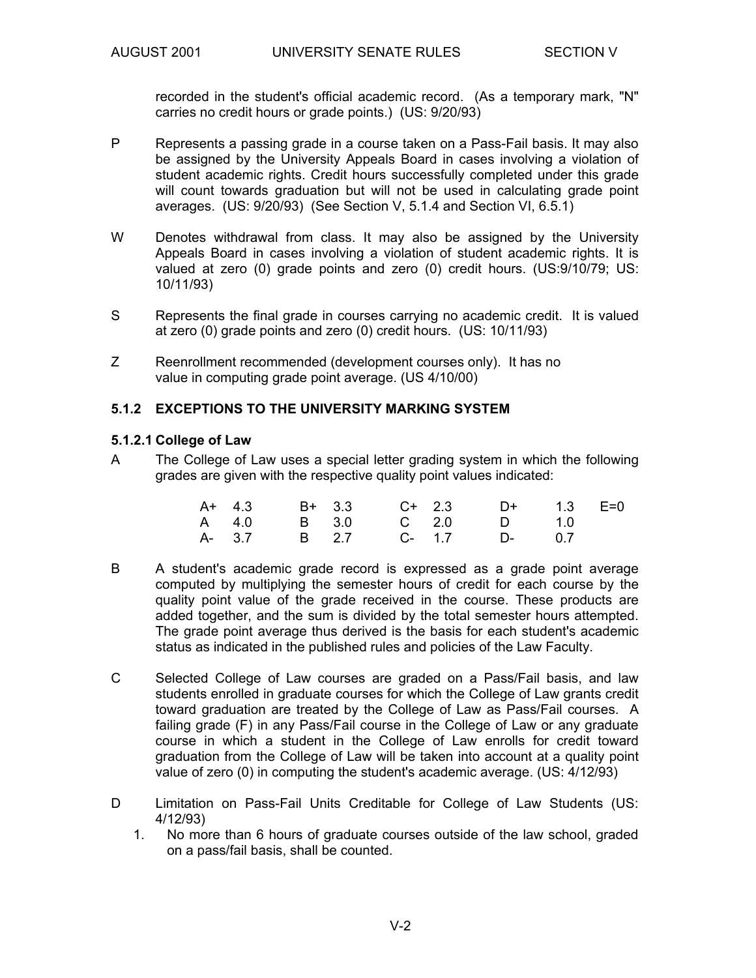recorded in the student's official academic record. (As a temporary mark, "N" carries no credit hours or grade points.) (US: 9/20/93)

- P Represents a passing grade in a course taken on a Pass-Fail basis. It may also be assigned by the University Appeals Board in cases involving a violation of student academic rights. Credit hours successfully completed under this grade will count towards graduation but will not be used in calculating grade point averages. (US: 9/20/93) (See Section V, 5.1.4 and Section VI, 6.5.1)
- W Denotes withdrawal from class. It may also be assigned by the University Appeals Board in cases involving a violation of student academic rights. It is valued at zero (0) grade points and zero (0) credit hours. (US:9/10/79; US: 10/11/93)
- S Represents the final grade in courses carrying no academic credit. It is valued at zero (0) grade points and zero (0) credit hours. (US: 10/11/93)
- Z Reenrollment recommended (development courses only). It has no value in computing grade point average. (US 4/10/00)

#### **5.1.2 EXCEPTIONS TO THE UNIVERSITY MARKING SYSTEM**

#### **5.1.2.1 College of Law**

A The College of Law uses a special letter grading system in which the following grades are given with the respective quality point values indicated:

|  | A+ 4.3 B+ 3.3 C+ 2.3 D+ 1.3 E=0 |  |  |  |  |
|--|---------------------------------|--|--|--|--|
|  | A 4.0 B 3.0 C 2.0 D 1.0         |  |  |  |  |
|  | A-37 B 2.7 C-1.7 D- 0.7         |  |  |  |  |

- B A student's academic grade record is expressed as a grade point average computed by multiplying the semester hours of credit for each course by the quality point value of the grade received in the course. These products are added together, and the sum is divided by the total semester hours attempted. The grade point average thus derived is the basis for each student's academic status as indicated in the published rules and policies of the Law Faculty.
- C Selected College of Law courses are graded on a Pass/Fail basis, and law students enrolled in graduate courses for which the College of Law grants credit toward graduation are treated by the College of Law as Pass/Fail courses. A failing grade (F) in any Pass/Fail course in the College of Law or any graduate course in which a student in the College of Law enrolls for credit toward graduation from the College of Law will be taken into account at a quality point value of zero (0) in computing the student's academic average. (US: 4/12/93)
- D Limitation on Pass-Fail Units Creditable for College of Law Students (US: 4/12/93)
	- 1. No more than 6 hours of graduate courses outside of the law school, graded on a pass/fail basis, shall be counted.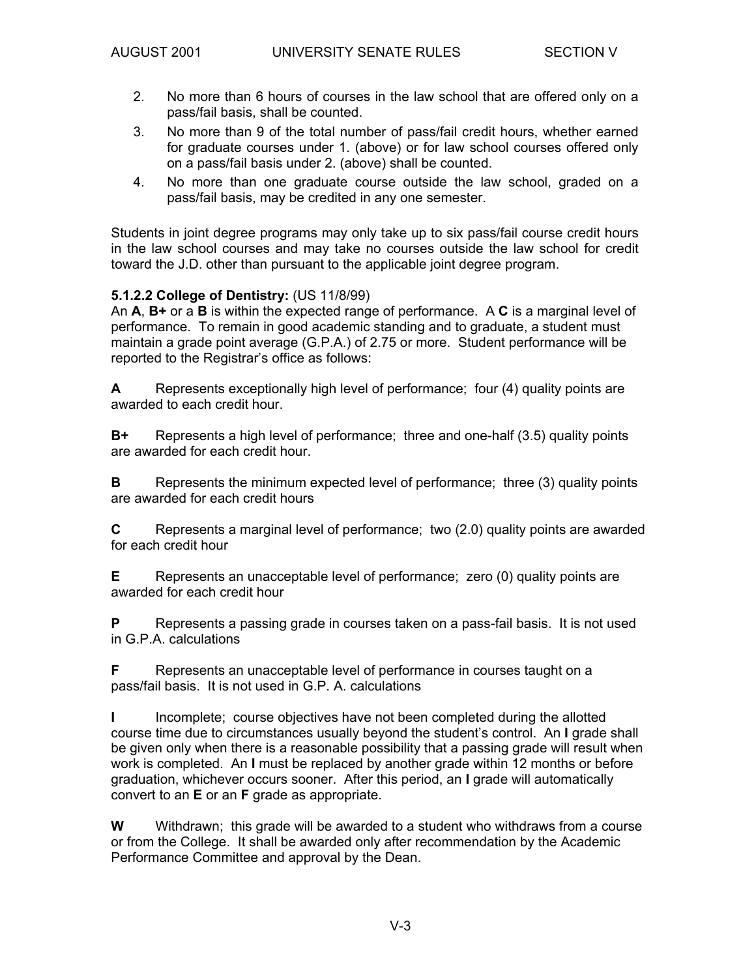- 2. No more than 6 hours of courses in the law school that are offered only on a pass/fail basis, shall be counted.
- 3. No more than 9 of the total number of pass/fail credit hours, whether earned for graduate courses under 1. (above) or for law school courses offered only on a pass/fail basis under 2. (above) shall be counted.
- 4. No more than one graduate course outside the law school, graded on a pass/fail basis, may be credited in any one semester.

Students in joint degree programs may only take up to six pass/fail course credit hours in the law school courses and may take no courses outside the law school for credit toward the J.D. other than pursuant to the applicable joint degree program.

#### **5.1.2.2 College of Dentistry:** (US 11/8/99)

An **A**, **B+** or a **B** is within the expected range of performance. A **C** is a marginal level of performance. To remain in good academic standing and to graduate, a student must maintain a grade point average (G.P.A.) of 2.75 or more. Student performance will be reported to the Registrar's office as follows:

**A** Represents exceptionally high level of performance; four (4) quality points are awarded to each credit hour.

**B+** Represents a high level of performance; three and one-half (3.5) quality points are awarded for each credit hour.

**B** Represents the minimum expected level of performance; three (3) quality points are awarded for each credit hours

**C** Represents a marginal level of performance; two (2.0) quality points are awarded for each credit hour

**E** Represents an unacceptable level of performance; zero (0) quality points are awarded for each credit hour

**P** Represents a passing grade in courses taken on a pass-fail basis. It is not used in G.P.A. calculations

**F** Represents an unacceptable level of performance in courses taught on a pass/fail basis. It is not used in G.P. A. calculations

**I** Incomplete; course objectives have not been completed during the allotted course time due to circumstances usually beyond the student's control. An **I** grade shall be given only when there is a reasonable possibility that a passing grade will result when work is completed. An **I** must be replaced by another grade within 12 months or before graduation, whichever occurs sooner. After this period, an **I** grade will automatically convert to an **E** or an **F** grade as appropriate.

**W** Withdrawn; this grade will be awarded to a student who withdraws from a course or from the College. It shall be awarded only after recommendation by the Academic Performance Committee and approval by the Dean.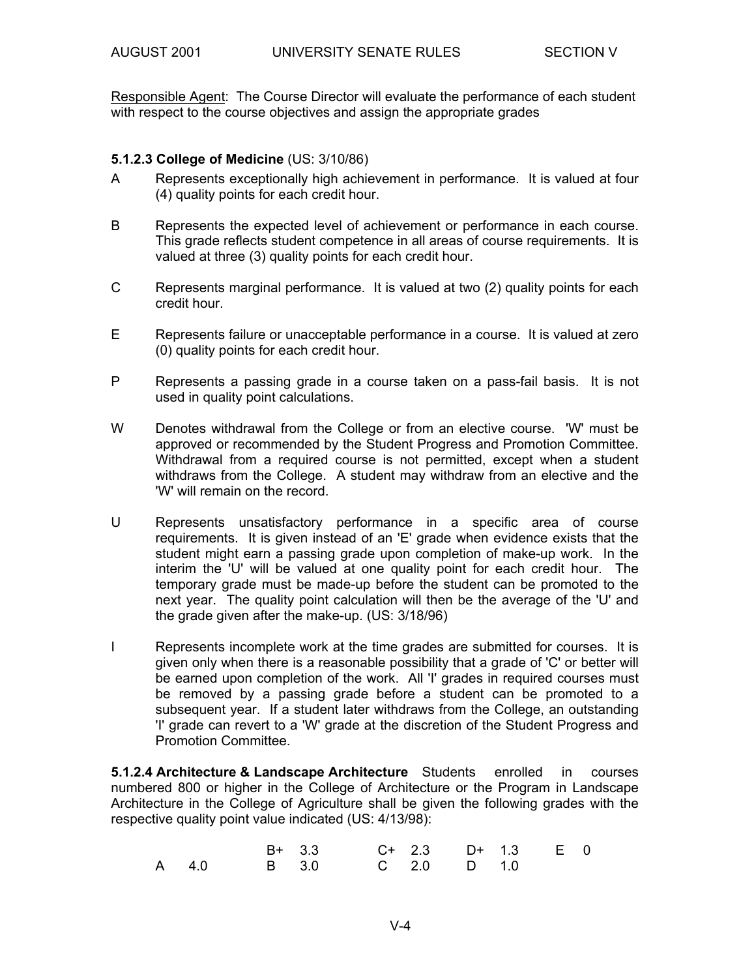Responsible Agent: The Course Director will evaluate the performance of each student with respect to the course objectives and assign the appropriate grades

#### **5.1.2.3 College of Medicine** (US: 3/10/86)

- A Represents exceptionally high achievement in performance. It is valued at four (4) quality points for each credit hour.
- B Represents the expected level of achievement or performance in each course. This grade reflects student competence in all areas of course requirements. It is valued at three (3) quality points for each credit hour.
- C Represents marginal performance. It is valued at two (2) quality points for each credit hour.
- E Represents failure or unacceptable performance in a course. It is valued at zero (0) quality points for each credit hour.
- P Represents a passing grade in a course taken on a pass-fail basis. It is not used in quality point calculations.
- W Denotes withdrawal from the College or from an elective course. 'W' must be approved or recommended by the Student Progress and Promotion Committee. Withdrawal from a required course is not permitted, except when a student withdraws from the College. A student may withdraw from an elective and the 'W' will remain on the record.
- U Represents unsatisfactory performance in a specific area of course requirements. It is given instead of an 'E' grade when evidence exists that the student might earn a passing grade upon completion of make-up work. In the interim the 'U' will be valued at one quality point for each credit hour. The temporary grade must be made-up before the student can be promoted to the next year. The quality point calculation will then be the average of the 'U' and the grade given after the make-up. (US: 3/18/96)
- I Represents incomplete work at the time grades are submitted for courses. It is given only when there is a reasonable possibility that a grade of 'C' or better will be earned upon completion of the work. All 'I' grades in required courses must be removed by a passing grade before a student can be promoted to a subsequent year. If a student later withdraws from the College, an outstanding 'I' grade can revert to a 'W' grade at the discretion of the Student Progress and Promotion Committee.

**5.1.2.4 Architecture & Landscape Architecture** Students enrolled in courses numbered 800 or higher in the College of Architecture or the Program in Landscape Architecture in the College of Agriculture shall be given the following grades with the respective quality point value indicated (US: 4/13/98):

|                         | B+ 3.3 C+ 2.3 D+ 1.3 E 0 |  |  |  |
|-------------------------|--------------------------|--|--|--|
| A 4.0 B 3.0 C 2.0 D 1.0 |                          |  |  |  |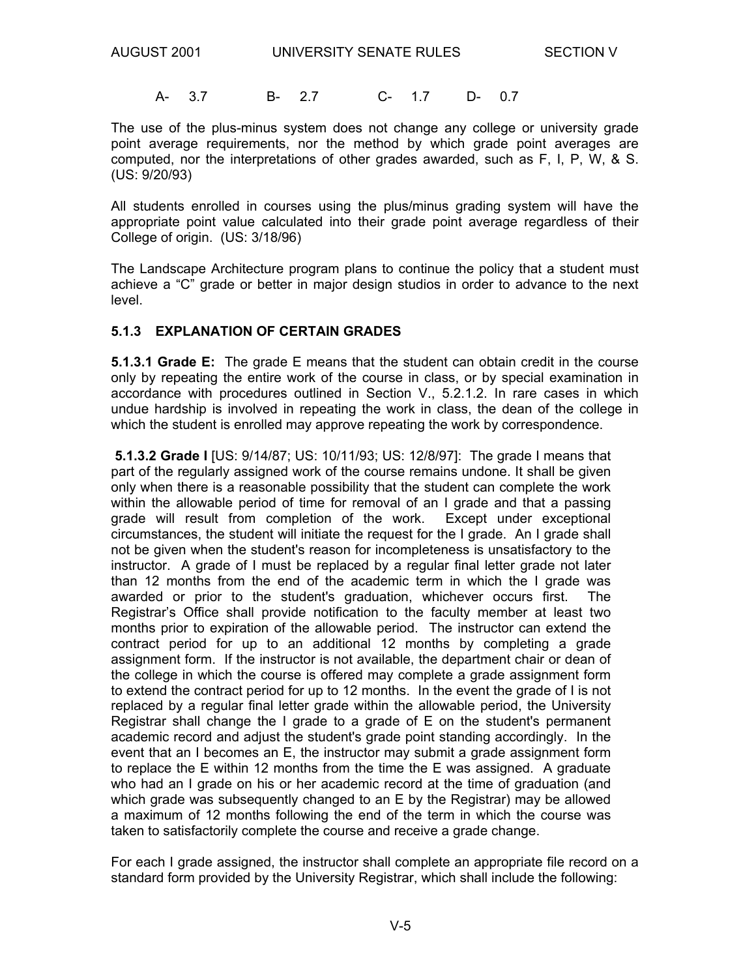A- 3.7 B- 2.7 C- 1.7 D- 0.7

The use of the plus-minus system does not change any college or university grade point average requirements, nor the method by which grade point averages are computed, nor the interpretations of other grades awarded, such as F, I, P, W, & S. (US: 9/20/93)

All students enrolled in courses using the plus/minus grading system will have the appropriate point value calculated into their grade point average regardless of their College of origin. (US: 3/18/96)

The Landscape Architecture program plans to continue the policy that a student must achieve a "C" grade or better in major design studios in order to advance to the next level.

#### **5.1.3 EXPLANATION OF CERTAIN GRADES**

**5.1.3.1 Grade E:** The grade E means that the student can obtain credit in the course only by repeating the entire work of the course in class, or by special examination in accordance with procedures outlined in Section V., 5.2.1.2. In rare cases in which undue hardship is involved in repeating the work in class, the dean of the college in which the student is enrolled may approve repeating the work by correspondence.

 **5.1.3.2 Grade I** [US: 9/14/87; US: 10/11/93; US: 12/8/97]: The grade I means that part of the regularly assigned work of the course remains undone. It shall be given only when there is a reasonable possibility that the student can complete the work within the allowable period of time for removal of an I grade and that a passing grade will result from completion of the work. Except under exceptional circumstances, the student will initiate the request for the I grade. An I grade shall not be given when the student's reason for incompleteness is unsatisfactory to the instructor. A grade of I must be replaced by a regular final letter grade not later than 12 months from the end of the academic term in which the I grade was awarded or prior to the student's graduation, whichever occurs first. The Registrar's Office shall provide notification to the faculty member at least two months prior to expiration of the allowable period. The instructor can extend the contract period for up to an additional 12 months by completing a grade assignment form. If the instructor is not available, the department chair or dean of the college in which the course is offered may complete a grade assignment form to extend the contract period for up to 12 months. In the event the grade of I is not replaced by a regular final letter grade within the allowable period, the University Registrar shall change the I grade to a grade of E on the student's permanent academic record and adjust the student's grade point standing accordingly. In the event that an I becomes an E, the instructor may submit a grade assignment form to replace the E within 12 months from the time the E was assigned. A graduate who had an I grade on his or her academic record at the time of graduation (and which grade was subsequently changed to an E by the Registrar) may be allowed a maximum of 12 months following the end of the term in which the course was taken to satisfactorily complete the course and receive a grade change.

For each I grade assigned, the instructor shall complete an appropriate file record on a standard form provided by the University Registrar, which shall include the following: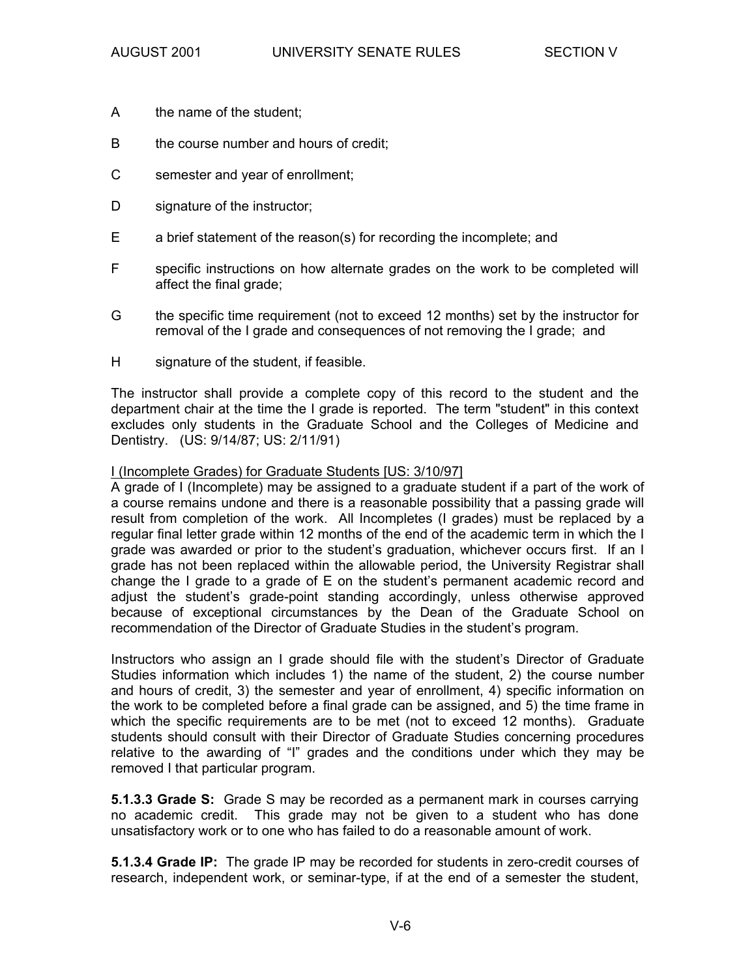- A the name of the student;
- B the course number and hours of credit;
- C semester and year of enrollment;
- D signature of the instructor;
- E a brief statement of the reason(s) for recording the incomplete; and
- F specific instructions on how alternate grades on the work to be completed will affect the final grade;
- G the specific time requirement (not to exceed 12 months) set by the instructor for removal of the I grade and consequences of not removing the I grade; and
- H signature of the student, if feasible.

The instructor shall provide a complete copy of this record to the student and the department chair at the time the I grade is reported. The term "student" in this context excludes only students in the Graduate School and the Colleges of Medicine and Dentistry. (US: 9/14/87; US: 2/11/91)

#### I (Incomplete Grades) for Graduate Students [US: 3/10/97]

A grade of I (Incomplete) may be assigned to a graduate student if a part of the work of a course remains undone and there is a reasonable possibility that a passing grade will result from completion of the work. All Incompletes (I grades) must be replaced by a regular final letter grade within 12 months of the end of the academic term in which the I grade was awarded or prior to the student's graduation, whichever occurs first. If an I grade has not been replaced within the allowable period, the University Registrar shall change the I grade to a grade of E on the student's permanent academic record and adjust the student's grade-point standing accordingly, unless otherwise approved because of exceptional circumstances by the Dean of the Graduate School on recommendation of the Director of Graduate Studies in the student's program.

Instructors who assign an I grade should file with the student's Director of Graduate Studies information which includes 1) the name of the student, 2) the course number and hours of credit, 3) the semester and year of enrollment, 4) specific information on the work to be completed before a final grade can be assigned, and 5) the time frame in which the specific requirements are to be met (not to exceed 12 months). Graduate students should consult with their Director of Graduate Studies concerning procedures relative to the awarding of "I" grades and the conditions under which they may be removed I that particular program.

**5.1.3.3 Grade S:** Grade S may be recorded as a permanent mark in courses carrying no academic credit. This grade may not be given to a student who has done unsatisfactory work or to one who has failed to do a reasonable amount of work.

**5.1.3.4 Grade IP:** The grade IP may be recorded for students in zero-credit courses of research, independent work, or seminar-type, if at the end of a semester the student,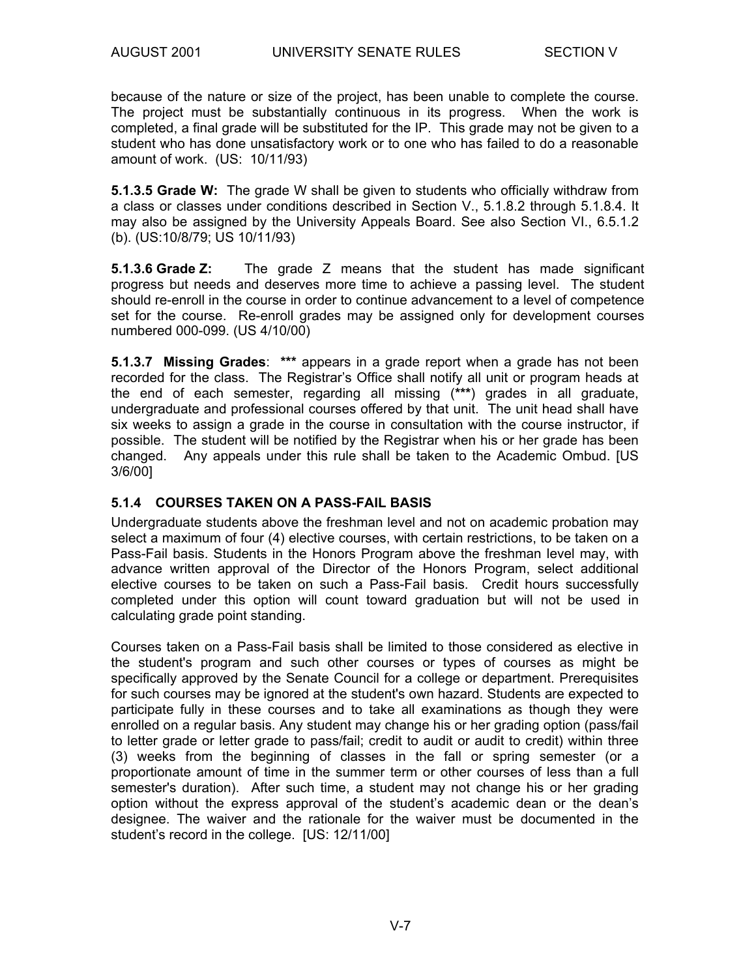because of the nature or size of the project, has been unable to complete the course. The project must be substantially continuous in its progress. When the work is completed, a final grade will be substituted for the IP. This grade may not be given to a student who has done unsatisfactory work or to one who has failed to do a reasonable amount of work. (US: 10/11/93)

**5.1.3.5 Grade W:** The grade W shall be given to students who officially withdraw from a class or classes under conditions described in Section V., 5.1.8.2 through 5.1.8.4. It may also be assigned by the University Appeals Board. See also Section VI., 6.5.1.2 (b). (US:10/8/79; US 10/11/93)

**5.1.3.6 Grade Z:** The grade Z means that the student has made significant progress but needs and deserves more time to achieve a passing level. The student should re-enroll in the course in order to continue advancement to a level of competence set for the course. Re-enroll grades may be assigned only for development courses numbered 000-099. (US 4/10/00)

**5.1.3.7 Missing Grades**: **\*\*\*** appears in a grade report when a grade has not been recorded for the class. The Registrar's Office shall notify all unit or program heads at the end of each semester, regarding all missing (**\*\*\***) grades in all graduate, undergraduate and professional courses offered by that unit. The unit head shall have six weeks to assign a grade in the course in consultation with the course instructor, if possible. The student will be notified by the Registrar when his or her grade has been changed. Any appeals under this rule shall be taken to the Academic Ombud. [US 3/6/00]

#### **5.1.4 COURSES TAKEN ON A PASS-FAIL BASIS**

Undergraduate students above the freshman level and not on academic probation may select a maximum of four (4) elective courses, with certain restrictions, to be taken on a Pass-Fail basis. Students in the Honors Program above the freshman level may, with advance written approval of the Director of the Honors Program, select additional elective courses to be taken on such a Pass-Fail basis. Credit hours successfully completed under this option will count toward graduation but will not be used in calculating grade point standing.

Courses taken on a Pass-Fail basis shall be limited to those considered as elective in the student's program and such other courses or types of courses as might be specifically approved by the Senate Council for a college or department. Prerequisites for such courses may be ignored at the student's own hazard. Students are expected to participate fully in these courses and to take all examinations as though they were enrolled on a regular basis. Any student may change his or her grading option (pass/fail to letter grade or letter grade to pass/fail; credit to audit or audit to credit) within three (3) weeks from the beginning of classes in the fall or spring semester (or a proportionate amount of time in the summer term or other courses of less than a full semester's duration). After such time, a student may not change his or her grading option without the express approval of the student's academic dean or the dean's designee. The waiver and the rationale for the waiver must be documented in the student's record in the college. [US: 12/11/00]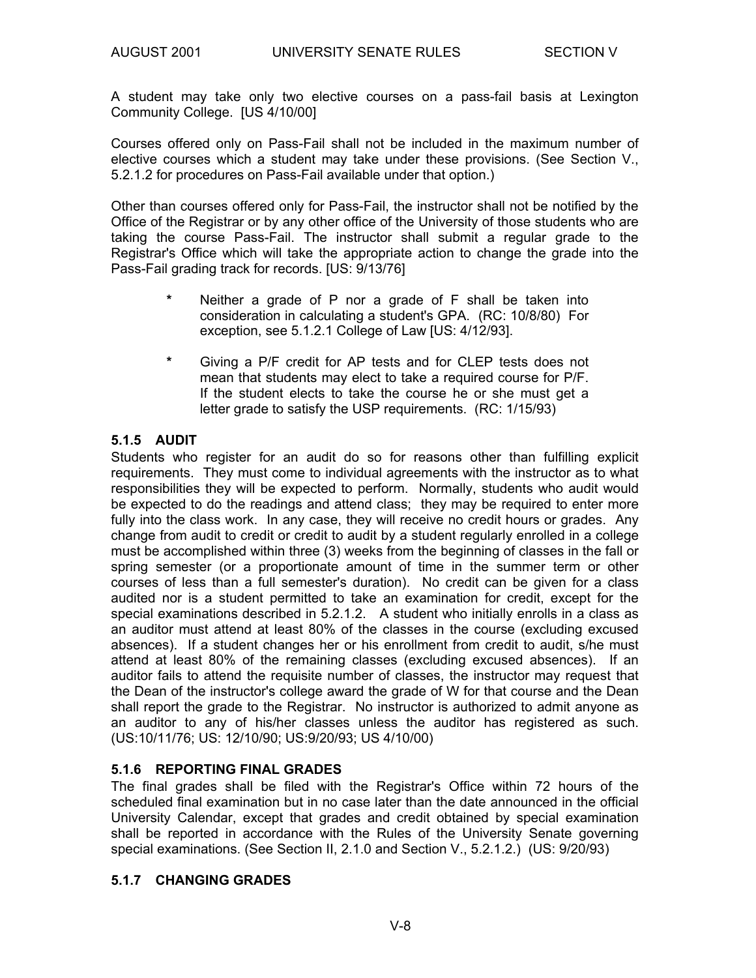A student may take only two elective courses on a pass-fail basis at Lexington Community College. [US 4/10/00]

Courses offered only on Pass-Fail shall not be included in the maximum number of elective courses which a student may take under these provisions. (See Section V., 5.2.1.2 for procedures on Pass-Fail available under that option.)

Other than courses offered only for Pass-Fail, the instructor shall not be notified by the Office of the Registrar or by any other office of the University of those students who are taking the course Pass-Fail. The instructor shall submit a regular grade to the Registrar's Office which will take the appropriate action to change the grade into the Pass-Fail grading track for records. [US: 9/13/76]

- **\*** Neither a grade of P nor a grade of F shall be taken into consideration in calculating a student's GPA. (RC: 10/8/80) For exception, see 5.1.2.1 College of Law [US: 4/12/93].
- **\*** Giving a P/F credit for AP tests and for CLEP tests does not mean that students may elect to take a required course for P/F. If the student elects to take the course he or she must get a letter grade to satisfy the USP requirements. (RC: 1/15/93)

#### **5.1.5 AUDIT**

Students who register for an audit do so for reasons other than fulfilling explicit requirements. They must come to individual agreements with the instructor as to what responsibilities they will be expected to perform. Normally, students who audit would be expected to do the readings and attend class; they may be required to enter more fully into the class work. In any case, they will receive no credit hours or grades. Any change from audit to credit or credit to audit by a student regularly enrolled in a college must be accomplished within three (3) weeks from the beginning of classes in the fall or spring semester (or a proportionate amount of time in the summer term or other courses of less than a full semester's duration). No credit can be given for a class audited nor is a student permitted to take an examination for credit, except for the special examinations described in 5.2.1.2. A student who initially enrolls in a class as an auditor must attend at least 80% of the classes in the course (excluding excused absences). If a student changes her or his enrollment from credit to audit, s/he must attend at least 80% of the remaining classes (excluding excused absences). If an auditor fails to attend the requisite number of classes, the instructor may request that the Dean of the instructor's college award the grade of W for that course and the Dean shall report the grade to the Registrar. No instructor is authorized to admit anyone as an auditor to any of his/her classes unless the auditor has registered as such. (US:10/11/76; US: 12/10/90; US:9/20/93; US 4/10/00)

#### **5.1.6 REPORTING FINAL GRADES**

The final grades shall be filed with the Registrar's Office within 72 hours of the scheduled final examination but in no case later than the date announced in the official University Calendar, except that grades and credit obtained by special examination shall be reported in accordance with the Rules of the University Senate governing special examinations. (See Section II, 2.1.0 and Section V., 5.2.1.2.) (US: 9/20/93)

#### **5.1.7 CHANGING GRADES**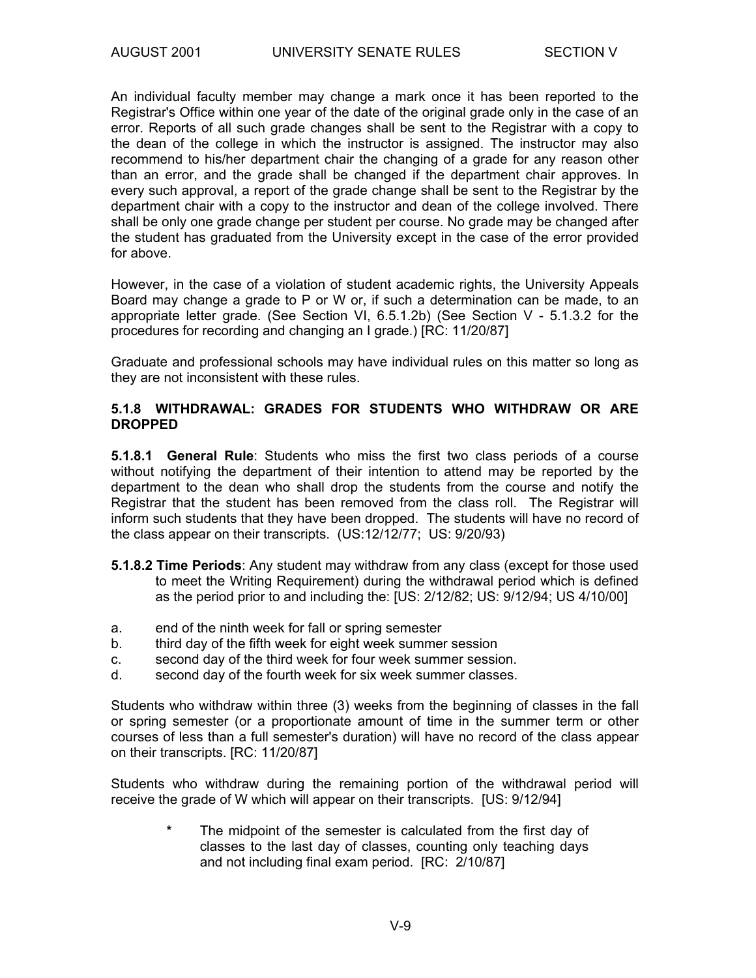An individual faculty member may change a mark once it has been reported to the Registrar's Office within one year of the date of the original grade only in the case of an error. Reports of all such grade changes shall be sent to the Registrar with a copy to the dean of the college in which the instructor is assigned. The instructor may also recommend to his/her department chair the changing of a grade for any reason other than an error, and the grade shall be changed if the department chair approves. In every such approval, a report of the grade change shall be sent to the Registrar by the department chair with a copy to the instructor and dean of the college involved. There shall be only one grade change per student per course. No grade may be changed after the student has graduated from the University except in the case of the error provided for above.

However, in the case of a violation of student academic rights, the University Appeals Board may change a grade to P or W or, if such a determination can be made, to an appropriate letter grade. (See Section VI, 6.5.1.2b) (See Section V - 5.1.3.2 for the procedures for recording and changing an I grade.) [RC: 11/20/87]

Graduate and professional schools may have individual rules on this matter so long as they are not inconsistent with these rules.

#### **5.1.8 WITHDRAWAL: GRADES FOR STUDENTS WHO WITHDRAW OR ARE DROPPED**

**5.1.8.1 General Rule**: Students who miss the first two class periods of a course without notifying the department of their intention to attend may be reported by the department to the dean who shall drop the students from the course and notify the Registrar that the student has been removed from the class roll. The Registrar will inform such students that they have been dropped. The students will have no record of the class appear on their transcripts. (US:12/12/77; US: 9/20/93)

- **5.1.8.2 Time Periods**: Any student may withdraw from any class (except for those used to meet the Writing Requirement) during the withdrawal period which is defined as the period prior to and including the: [US: 2/12/82; US: 9/12/94; US 4/10/00]
- a. end of the ninth week for fall or spring semester
- b. third day of the fifth week for eight week summer session
- c. second day of the third week for four week summer session.
- d. second day of the fourth week for six week summer classes.

Students who withdraw within three (3) weeks from the beginning of classes in the fall or spring semester (or a proportionate amount of time in the summer term or other courses of less than a full semester's duration) will have no record of the class appear on their transcripts. [RC: 11/20/87]

Students who withdraw during the remaining portion of the withdrawal period will receive the grade of W which will appear on their transcripts. [US: 9/12/94]

> **\*** The midpoint of the semester is calculated from the first day of classes to the last day of classes, counting only teaching days and not including final exam period. [RC: 2/10/87]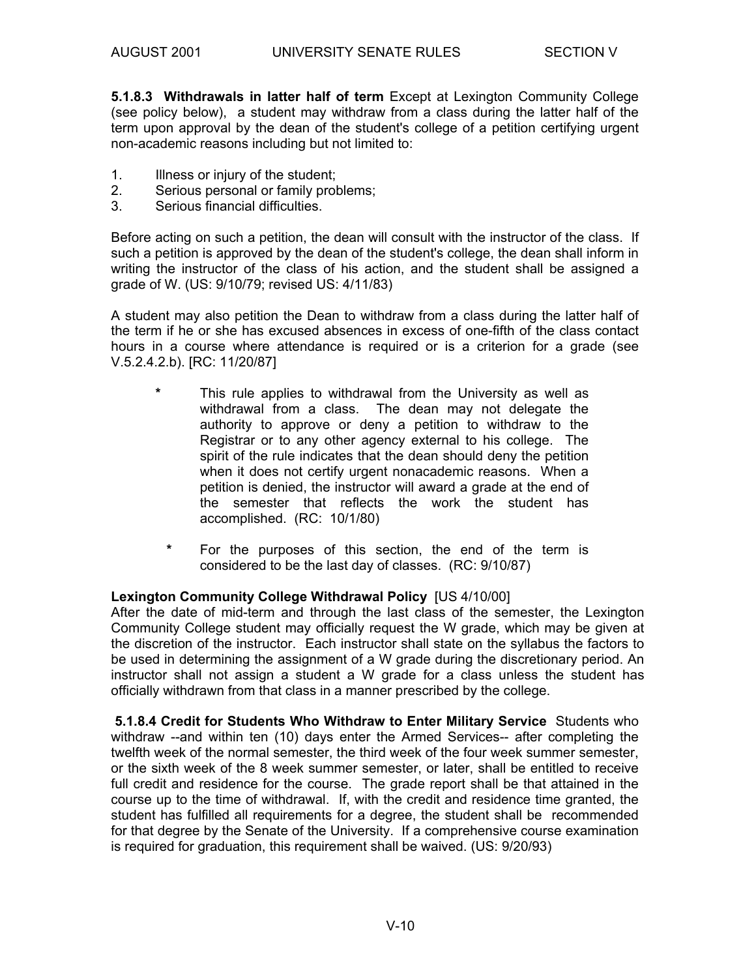**5.1.8.3 Withdrawals in latter half of term** Except at Lexington Community College (see policy below), a student may withdraw from a class during the latter half of the term upon approval by the dean of the student's college of a petition certifying urgent non-academic reasons including but not limited to:

- 1. Illness or injury of the student;
- 2. Serious personal or family problems;
- 3. Serious financial difficulties.

Before acting on such a petition, the dean will consult with the instructor of the class. If such a petition is approved by the dean of the student's college, the dean shall inform in writing the instructor of the class of his action, and the student shall be assigned a grade of W. (US: 9/10/79; revised US: 4/11/83)

A student may also petition the Dean to withdraw from a class during the latter half of the term if he or she has excused absences in excess of one-fifth of the class contact hours in a course where attendance is required or is a criterion for a grade (see V.5.2.4.2.b). [RC: 11/20/87]

- **\*** This rule applies to withdrawal from the University as well as withdrawal from a class. The dean may not delegate the authority to approve or deny a petition to withdraw to the Registrar or to any other agency external to his college. The spirit of the rule indicates that the dean should deny the petition when it does not certify urgent nonacademic reasons. When a petition is denied, the instructor will award a grade at the end of the semester that reflects the work the student has accomplished. (RC: 10/1/80)
	- **\*** For the purposes of this section, the end of the term is considered to be the last day of classes. (RC: 9/10/87)

#### **Lexington Community College Withdrawal Policy** [US 4/10/00]

After the date of mid-term and through the last class of the semester, the Lexington Community College student may officially request the W grade, which may be given at the discretion of the instructor. Each instructor shall state on the syllabus the factors to be used in determining the assignment of a W grade during the discretionary period. An instructor shall not assign a student a W grade for a class unless the student has officially withdrawn from that class in a manner prescribed by the college.

 **5.1.8.4 Credit for Students Who Withdraw to Enter Military Service** Students who withdraw --and within ten (10) days enter the Armed Services-- after completing the twelfth week of the normal semester, the third week of the four week summer semester, or the sixth week of the 8 week summer semester, or later, shall be entitled to receive full credit and residence for the course. The grade report shall be that attained in the course up to the time of withdrawal. If, with the credit and residence time granted, the student has fulfilled all requirements for a degree, the student shall be recommended for that degree by the Senate of the University. If a comprehensive course examination is required for graduation, this requirement shall be waived. (US: 9/20/93)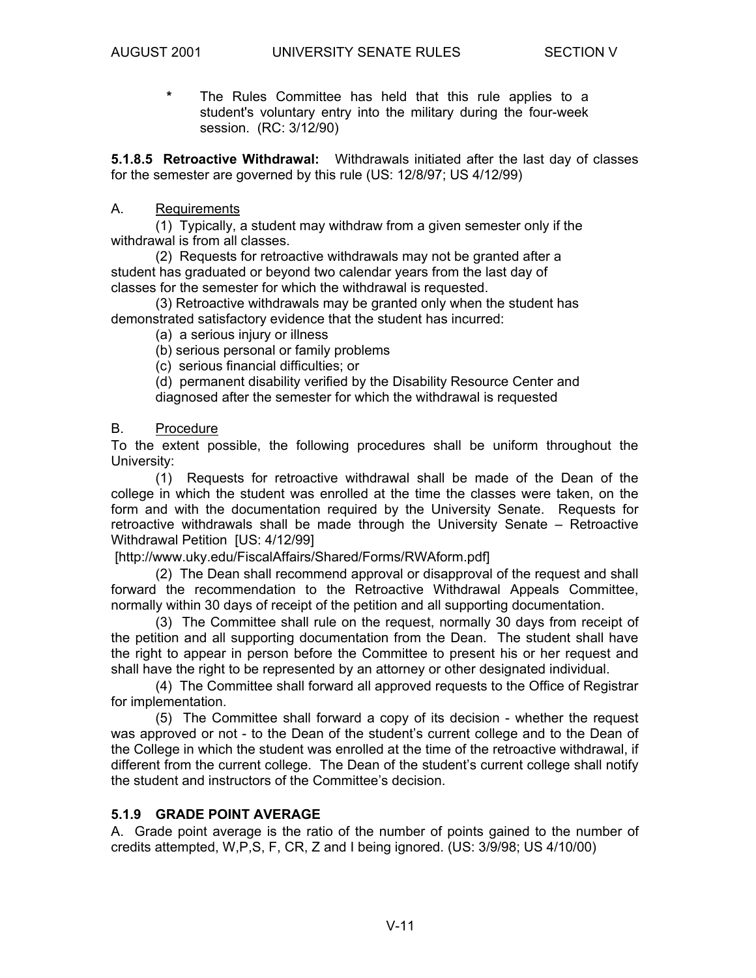**\*** The Rules Committee has held that this rule applies to a student's voluntary entry into the military during the four-week session. (RC: 3/12/90)

**5.1.8.5 Retroactive Withdrawal:** Withdrawals initiated after the last day of classes for the semester are governed by this rule (US: 12/8/97; US 4/12/99)

#### A. Requirements

 (1) Typically, a student may withdraw from a given semester only if the withdrawal is from all classes.

 (2) Requests for retroactive withdrawals may not be granted after a student has graduated or beyond two calendar years from the last day of classes for the semester for which the withdrawal is requested.

 (3) Retroactive withdrawals may be granted only when the student has demonstrated satisfactory evidence that the student has incurred:

(a) a serious injury or illness

(b) serious personal or family problems

(c) serious financial difficulties; or

(d) permanent disability verified by the Disability Resource Center and diagnosed after the semester for which the withdrawal is requested

#### B. Procedure

To the extent possible, the following procedures shall be uniform throughout the University:

 (1) Requests for retroactive withdrawal shall be made of the Dean of the college in which the student was enrolled at the time the classes were taken, on the form and with the documentation required by the University Senate. Requests for retroactive withdrawals shall be made through the University Senate – Retroactive Withdrawal Petition [US: 4/12/99]

#### [http://www.uky.edu/FiscalAffairs/Shared/Forms/RWAform.pdf]

 (2) The Dean shall recommend approval or disapproval of the request and shall forward the recommendation to the Retroactive Withdrawal Appeals Committee, normally within 30 days of receipt of the petition and all supporting documentation.

 (3) The Committee shall rule on the request, normally 30 days from receipt of the petition and all supporting documentation from the Dean. The student shall have the right to appear in person before the Committee to present his or her request and shall have the right to be represented by an attorney or other designated individual.

 (4) The Committee shall forward all approved requests to the Office of Registrar for implementation.

 (5) The Committee shall forward a copy of its decision - whether the request was approved or not - to the Dean of the student's current college and to the Dean of the College in which the student was enrolled at the time of the retroactive withdrawal, if different from the current college. The Dean of the student's current college shall notify the student and instructors of the Committee's decision.

#### **5.1.9 GRADE POINT AVERAGE**

A. Grade point average is the ratio of the number of points gained to the number of credits attempted, W,P,S, F, CR, Z and I being ignored. (US: 3/9/98; US 4/10/00)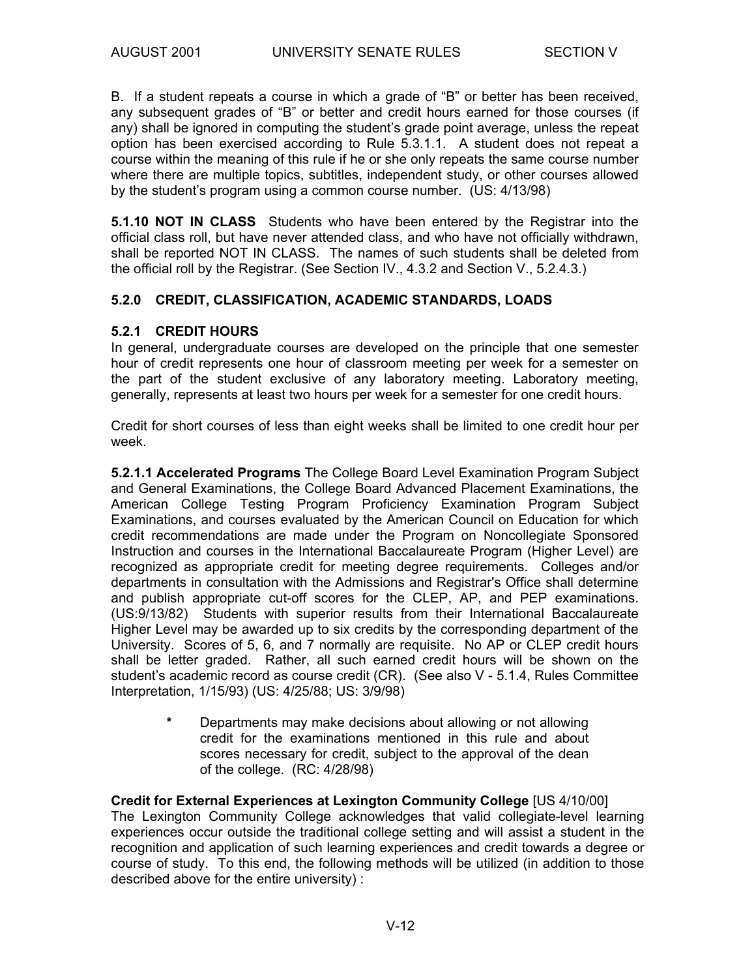B. If a student repeats a course in which a grade of "B" or better has been received, any subsequent grades of "B" or better and credit hours earned for those courses (if any) shall be ignored in computing the student's grade point average, unless the repeat option has been exercised according to Rule 5.3.1.1. A student does not repeat a course within the meaning of this rule if he or she only repeats the same course number where there are multiple topics, subtitles, independent study, or other courses allowed by the student's program using a common course number. (US: 4/13/98)

**5.1.10 NOT IN CLASS** Students who have been entered by the Registrar into the official class roll, but have never attended class, and who have not officially withdrawn, shall be reported NOT IN CLASS. The names of such students shall be deleted from the official roll by the Registrar. (See Section IV., 4.3.2 and Section V., 5.2.4.3.)

#### **5.2.0 CREDIT, CLASSIFICATION, ACADEMIC STANDARDS, LOADS**

#### **5.2.1 CREDIT HOURS**

In general, undergraduate courses are developed on the principle that one semester hour of credit represents one hour of classroom meeting per week for a semester on the part of the student exclusive of any laboratory meeting. Laboratory meeting, generally, represents at least two hours per week for a semester for one credit hours.

Credit for short courses of less than eight weeks shall be limited to one credit hour per week.

**5.2.1.1 Accelerated Programs** The College Board Level Examination Program Subject and General Examinations, the College Board Advanced Placement Examinations, the American College Testing Program Proficiency Examination Program Subject Examinations, and courses evaluated by the American Council on Education for which credit recommendations are made under the Program on Noncollegiate Sponsored Instruction and courses in the International Baccalaureate Program (Higher Level) are recognized as appropriate credit for meeting degree requirements. Colleges and/or departments in consultation with the Admissions and Registrar's Office shall determine and publish appropriate cut-off scores for the CLEP, AP, and PEP examinations. (US:9/13/82) Students with superior results from their International Baccalaureate Higher Level may be awarded up to six credits by the corresponding department of the University. Scores of 5, 6, and 7 normally are requisite. No AP or CLEP credit hours shall be letter graded. Rather, all such earned credit hours will be shown on the student's academic record as course credit (CR). (See also V - 5.1.4, Rules Committee Interpretation, 1/15/93) (US: 4/25/88; US: 3/9/98)

> **\*** Departments may make decisions about allowing or not allowing credit for the examinations mentioned in this rule and about scores necessary for credit, subject to the approval of the dean of the college. (RC: 4/28/98)

#### **Credit for External Experiences at Lexington Community College** [US 4/10/00]

The Lexington Community College acknowledges that valid collegiate-level learning experiences occur outside the traditional college setting and will assist a student in the recognition and application of such learning experiences and credit towards a degree or course of study. To this end, the following methods will be utilized (in addition to those described above for the entire university) :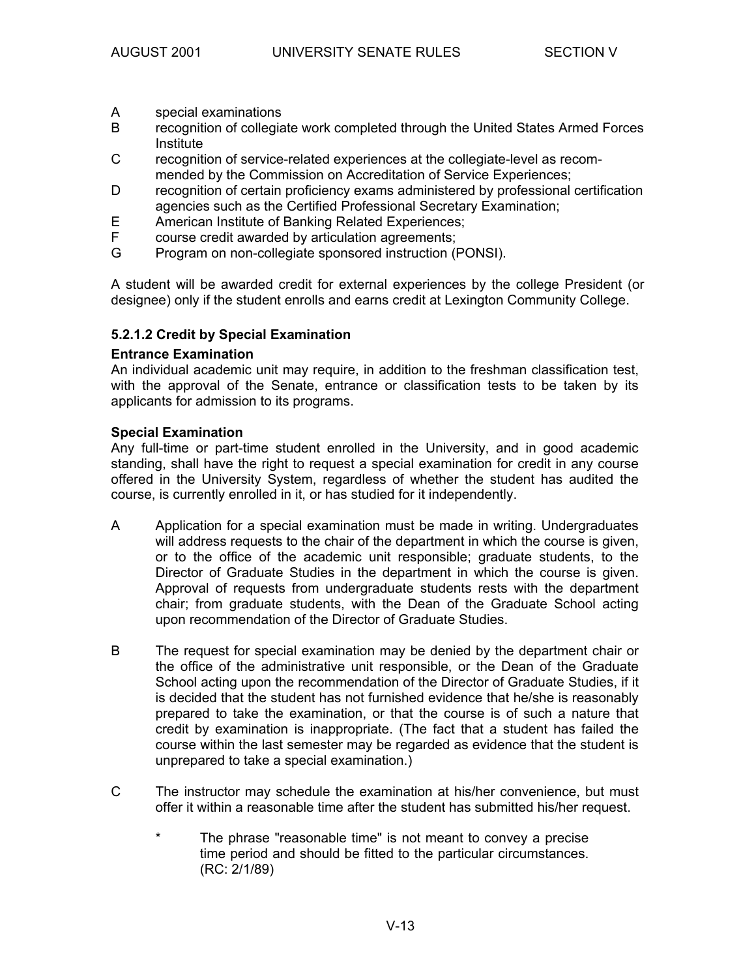- A special examinations
- B recognition of collegiate work completed through the United States Armed Forces Institute
- C recognition of service-related experiences at the collegiate-level as recommended by the Commission on Accreditation of Service Experiences;
- D recognition of certain proficiency exams administered by professional certification agencies such as the Certified Professional Secretary Examination;
- E American Institute of Banking Related Experiences;
- F course credit awarded by articulation agreements;<br>G Program on non-collegiate sponsored instruction (F
- Program on non-collegiate sponsored instruction (PONSI).

A student will be awarded credit for external experiences by the college President (or designee) only if the student enrolls and earns credit at Lexington Community College.

#### **5.2.1.2 Credit by Special Examination**

#### **Entrance Examination**

An individual academic unit may require, in addition to the freshman classification test, with the approval of the Senate, entrance or classification tests to be taken by its applicants for admission to its programs.

#### **Special Examination**

Any full-time or part-time student enrolled in the University, and in good academic standing, shall have the right to request a special examination for credit in any course offered in the University System, regardless of whether the student has audited the course, is currently enrolled in it, or has studied for it independently.

- A Application for a special examination must be made in writing. Undergraduates will address requests to the chair of the department in which the course is given, or to the office of the academic unit responsible; graduate students, to the Director of Graduate Studies in the department in which the course is given. Approval of requests from undergraduate students rests with the department chair; from graduate students, with the Dean of the Graduate School acting upon recommendation of the Director of Graduate Studies.
- B The request for special examination may be denied by the department chair or the office of the administrative unit responsible, or the Dean of the Graduate School acting upon the recommendation of the Director of Graduate Studies, if it is decided that the student has not furnished evidence that he/she is reasonably prepared to take the examination, or that the course is of such a nature that credit by examination is inappropriate. (The fact that a student has failed the course within the last semester may be regarded as evidence that the student is unprepared to take a special examination.)
- C The instructor may schedule the examination at his/her convenience, but must offer it within a reasonable time after the student has submitted his/her request.
	- \* The phrase "reasonable time" is not meant to convey a precise time period and should be fitted to the particular circumstances. (RC: 2/1/89)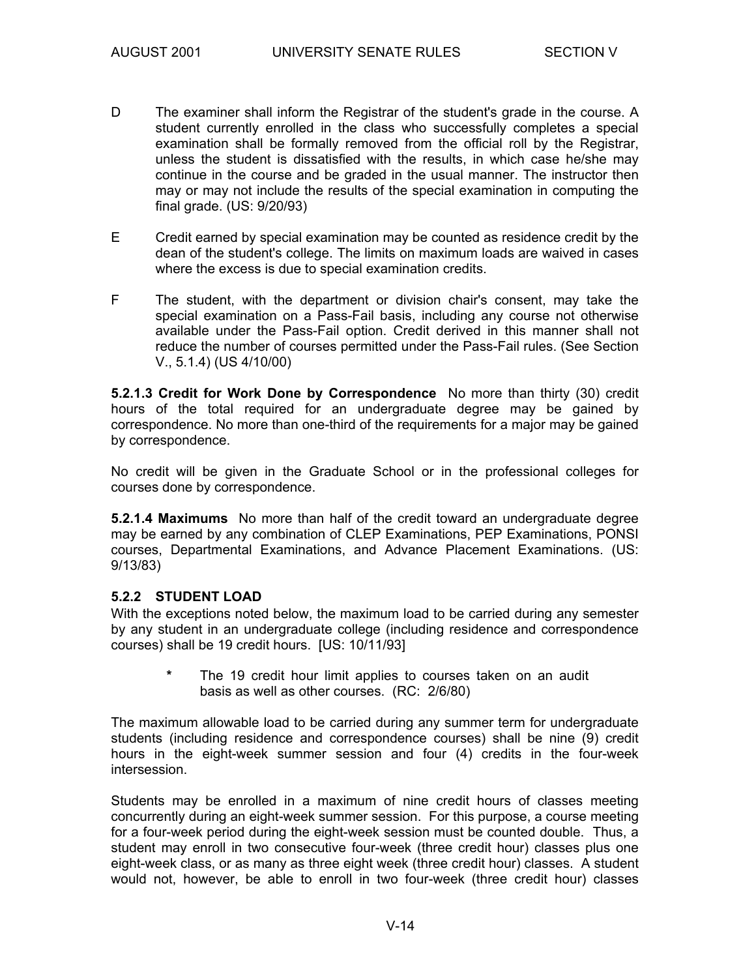- D The examiner shall inform the Registrar of the student's grade in the course. A student currently enrolled in the class who successfully completes a special examination shall be formally removed from the official roll by the Registrar, unless the student is dissatisfied with the results, in which case he/she may continue in the course and be graded in the usual manner. The instructor then may or may not include the results of the special examination in computing the final grade. (US: 9/20/93)
- E Credit earned by special examination may be counted as residence credit by the dean of the student's college. The limits on maximum loads are waived in cases where the excess is due to special examination credits.
- F The student, with the department or division chair's consent, may take the special examination on a Pass-Fail basis, including any course not otherwise available under the Pass-Fail option. Credit derived in this manner shall not reduce the number of courses permitted under the Pass-Fail rules. (See Section V., 5.1.4) (US 4/10/00)

**5.2.1.3 Credit for Work Done by Correspondence** No more than thirty (30) credit hours of the total required for an undergraduate degree may be gained by correspondence. No more than one-third of the requirements for a major may be gained by correspondence.

No credit will be given in the Graduate School or in the professional colleges for courses done by correspondence.

**5.2.1.4 Maximums** No more than half of the credit toward an undergraduate degree may be earned by any combination of CLEP Examinations, PEP Examinations, PONSI courses, Departmental Examinations, and Advance Placement Examinations. (US: 9/13/83)

#### **5.2.2 STUDENT LOAD**

With the exceptions noted below, the maximum load to be carried during any semester by any student in an undergraduate college (including residence and correspondence courses) shall be 19 credit hours. [US: 10/11/93]

> **\*** The 19 credit hour limit applies to courses taken on an audit basis as well as other courses. (RC: 2/6/80)

The maximum allowable load to be carried during any summer term for undergraduate students (including residence and correspondence courses) shall be nine (9) credit hours in the eight-week summer session and four (4) credits in the four-week intersession.

Students may be enrolled in a maximum of nine credit hours of classes meeting concurrently during an eight-week summer session. For this purpose, a course meeting for a four-week period during the eight-week session must be counted double. Thus, a student may enroll in two consecutive four-week (three credit hour) classes plus one eight-week class, or as many as three eight week (three credit hour) classes. A student would not, however, be able to enroll in two four-week (three credit hour) classes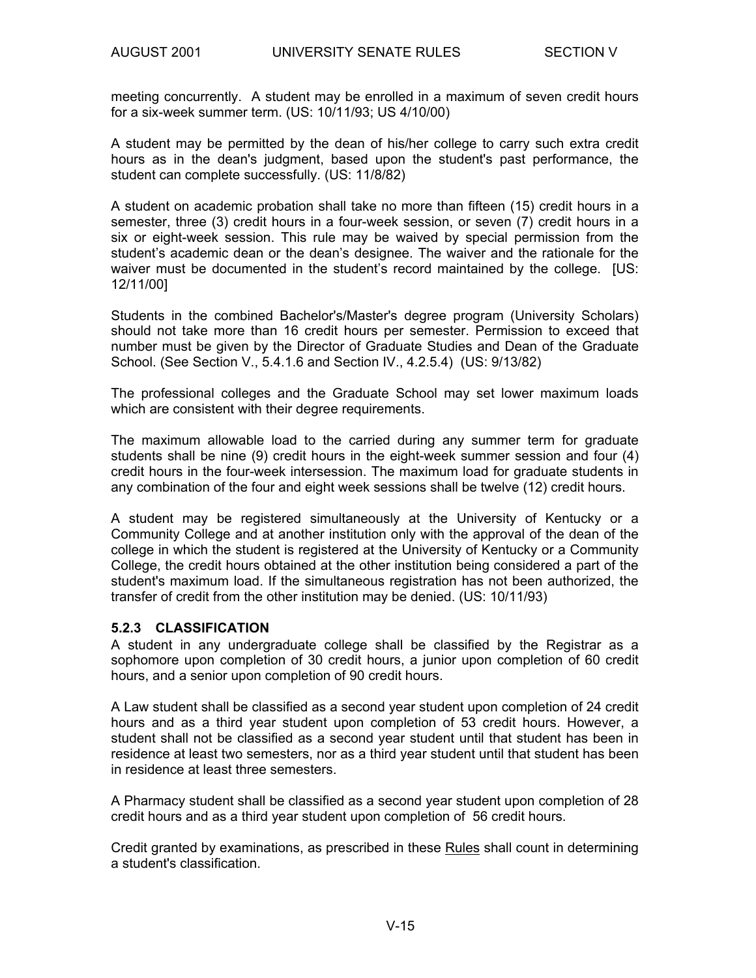meeting concurrently. A student may be enrolled in a maximum of seven credit hours for a six-week summer term. (US: 10/11/93; US 4/10/00)

A student may be permitted by the dean of his/her college to carry such extra credit hours as in the dean's judgment, based upon the student's past performance, the student can complete successfully. (US: 11/8/82)

A student on academic probation shall take no more than fifteen (15) credit hours in a semester, three (3) credit hours in a four-week session, or seven (7) credit hours in a six or eight-week session. This rule may be waived by special permission from the student's academic dean or the dean's designee. The waiver and the rationale for the waiver must be documented in the student's record maintained by the college. [US: 12/11/00]

Students in the combined Bachelor's/Master's degree program (University Scholars) should not take more than 16 credit hours per semester. Permission to exceed that number must be given by the Director of Graduate Studies and Dean of the Graduate School. (See Section V., 5.4.1.6 and Section IV., 4.2.5.4) (US: 9/13/82)

The professional colleges and the Graduate School may set lower maximum loads which are consistent with their degree requirements.

The maximum allowable load to the carried during any summer term for graduate students shall be nine (9) credit hours in the eight-week summer session and four (4) credit hours in the four-week intersession. The maximum load for graduate students in any combination of the four and eight week sessions shall be twelve (12) credit hours.

A student may be registered simultaneously at the University of Kentucky or a Community College and at another institution only with the approval of the dean of the college in which the student is registered at the University of Kentucky or a Community College, the credit hours obtained at the other institution being considered a part of the student's maximum load. If the simultaneous registration has not been authorized, the transfer of credit from the other institution may be denied. (US: 10/11/93)

#### **5.2.3 CLASSIFICATION**

A student in any undergraduate college shall be classified by the Registrar as a sophomore upon completion of 30 credit hours, a junior upon completion of 60 credit hours, and a senior upon completion of 90 credit hours.

A Law student shall be classified as a second year student upon completion of 24 credit hours and as a third year student upon completion of 53 credit hours. However, a student shall not be classified as a second year student until that student has been in residence at least two semesters, nor as a third year student until that student has been in residence at least three semesters.

A Pharmacy student shall be classified as a second year student upon completion of 28 credit hours and as a third year student upon completion of 56 credit hours.

Credit granted by examinations, as prescribed in these Rules shall count in determining a student's classification.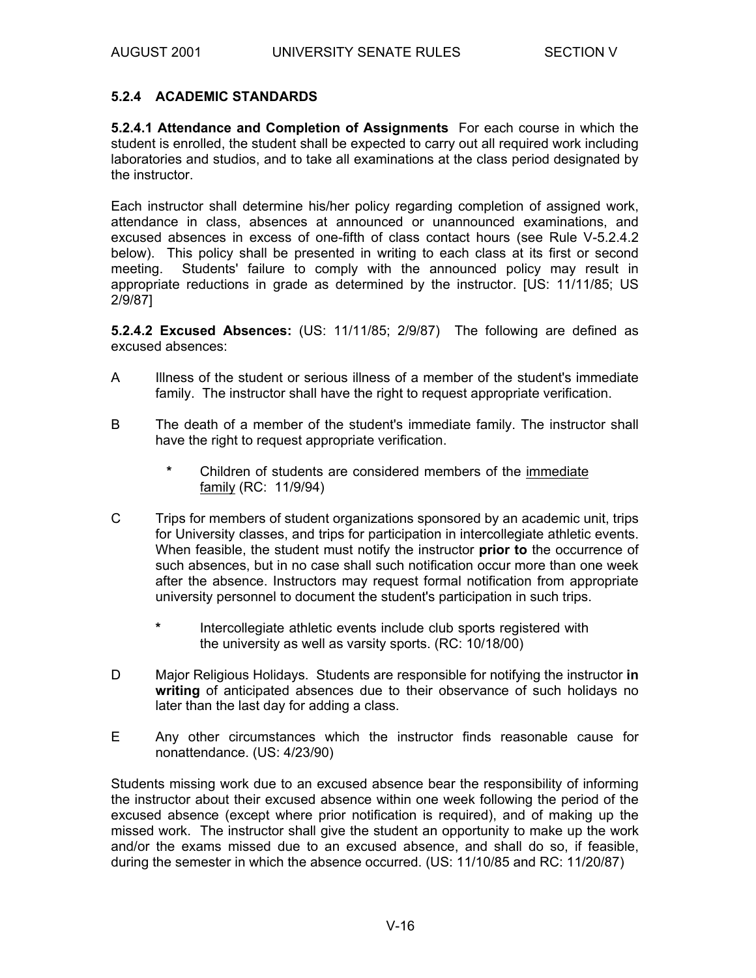#### **5.2.4 ACADEMIC STANDARDS**

**5.2.4.1 Attendance and Completion of Assignments** For each course in which the student is enrolled, the student shall be expected to carry out all required work including laboratories and studios, and to take all examinations at the class period designated by the instructor.

Each instructor shall determine his/her policy regarding completion of assigned work, attendance in class, absences at announced or unannounced examinations, and excused absences in excess of one-fifth of class contact hours (see Rule V-5.2.4.2 below). This policy shall be presented in writing to each class at its first or second meeting. Students' failure to comply with the announced policy may result in appropriate reductions in grade as determined by the instructor. [US: 11/11/85; US 2/9/87]

**5.2.4.2 Excused Absences:** (US: 11/11/85; 2/9/87) The following are defined as excused absences:

- A Illness of the student or serious illness of a member of the student's immediate family. The instructor shall have the right to request appropriate verification.
- B The death of a member of the student's immediate family. The instructor shall have the right to request appropriate verification.
	- **\*** Children of students are considered members of the immediate family (RC: 11/9/94)
- C Trips for members of student organizations sponsored by an academic unit, trips for University classes, and trips for participation in intercollegiate athletic events. When feasible, the student must notify the instructor **prior to** the occurrence of such absences, but in no case shall such notification occur more than one week after the absence. Instructors may request formal notification from appropriate university personnel to document the student's participation in such trips.
	- **\*** Intercollegiate athletic events include club sports registered with the university as well as varsity sports. (RC: 10/18/00)
- D Major Religious Holidays. Students are responsible for notifying the instructor **in writing** of anticipated absences due to their observance of such holidays no later than the last day for adding a class.
- E Any other circumstances which the instructor finds reasonable cause for nonattendance. (US: 4/23/90)

Students missing work due to an excused absence bear the responsibility of informing the instructor about their excused absence within one week following the period of the excused absence (except where prior notification is required), and of making up the missed work. The instructor shall give the student an opportunity to make up the work and/or the exams missed due to an excused absence, and shall do so, if feasible, during the semester in which the absence occurred. (US: 11/10/85 and RC: 11/20/87)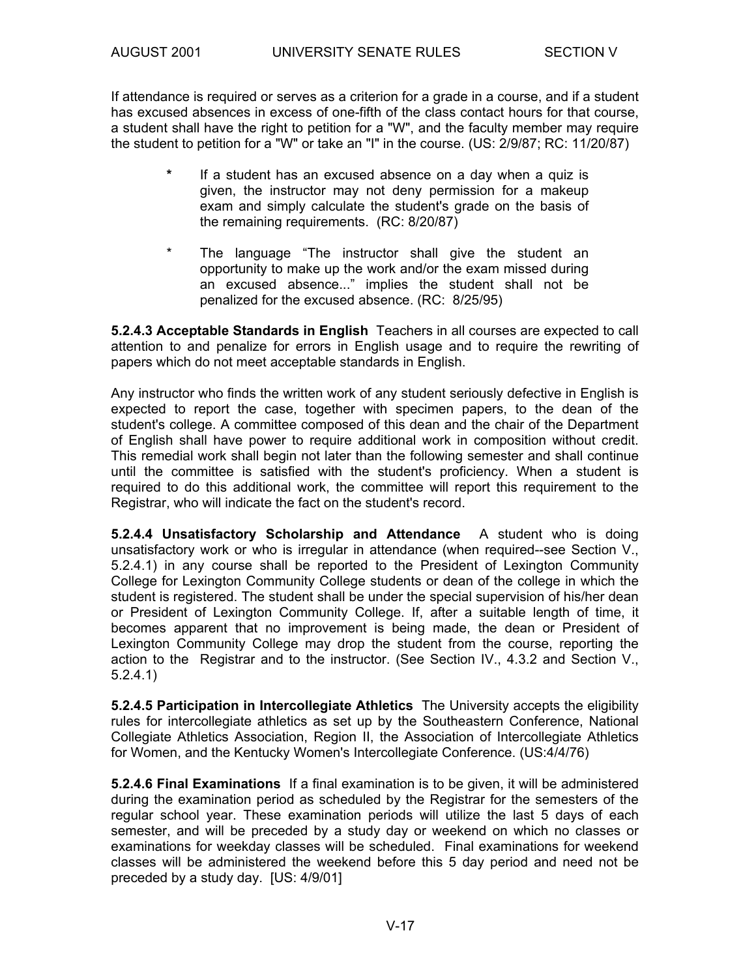If attendance is required or serves as a criterion for a grade in a course, and if a student has excused absences in excess of one-fifth of the class contact hours for that course, a student shall have the right to petition for a "W", and the faculty member may require the student to petition for a "W" or take an "I" in the course. (US: 2/9/87; RC: 11/20/87)

- **\*** If a student has an excused absence on a day when a quiz is given, the instructor may not deny permission for a makeup exam and simply calculate the student's grade on the basis of the remaining requirements. (RC: 8/20/87)
- \* The language "The instructor shall give the student an opportunity to make up the work and/or the exam missed during an excused absence..." implies the student shall not be penalized for the excused absence. (RC: 8/25/95)

**5.2.4.3 Acceptable Standards in English** Teachers in all courses are expected to call attention to and penalize for errors in English usage and to require the rewriting of papers which do not meet acceptable standards in English.

Any instructor who finds the written work of any student seriously defective in English is expected to report the case, together with specimen papers, to the dean of the student's college. A committee composed of this dean and the chair of the Department of English shall have power to require additional work in composition without credit. This remedial work shall begin not later than the following semester and shall continue until the committee is satisfied with the student's proficiency. When a student is required to do this additional work, the committee will report this requirement to the Registrar, who will indicate the fact on the student's record.

**5.2.4.4 Unsatisfactory Scholarship and Attendance** A student who is doing unsatisfactory work or who is irregular in attendance (when required--see Section V., 5.2.4.1) in any course shall be reported to the President of Lexington Community College for Lexington Community College students or dean of the college in which the student is registered. The student shall be under the special supervision of his/her dean or President of Lexington Community College. If, after a suitable length of time, it becomes apparent that no improvement is being made, the dean or President of Lexington Community College may drop the student from the course, reporting the action to the Registrar and to the instructor. (See Section IV., 4.3.2 and Section V., 5.2.4.1)

**5.2.4.5 Participation in Intercollegiate Athletics** The University accepts the eligibility rules for intercollegiate athletics as set up by the Southeastern Conference, National Collegiate Athletics Association, Region II, the Association of Intercollegiate Athletics for Women, and the Kentucky Women's Intercollegiate Conference. (US:4/4/76)

**5.2.4.6 Final Examinations** If a final examination is to be given, it will be administered during the examination period as scheduled by the Registrar for the semesters of the regular school year. These examination periods will utilize the last 5 days of each semester, and will be preceded by a study day or weekend on which no classes or examinations for weekday classes will be scheduled. Final examinations for weekend classes will be administered the weekend before this 5 day period and need not be preceded by a study day. [US: 4/9/01]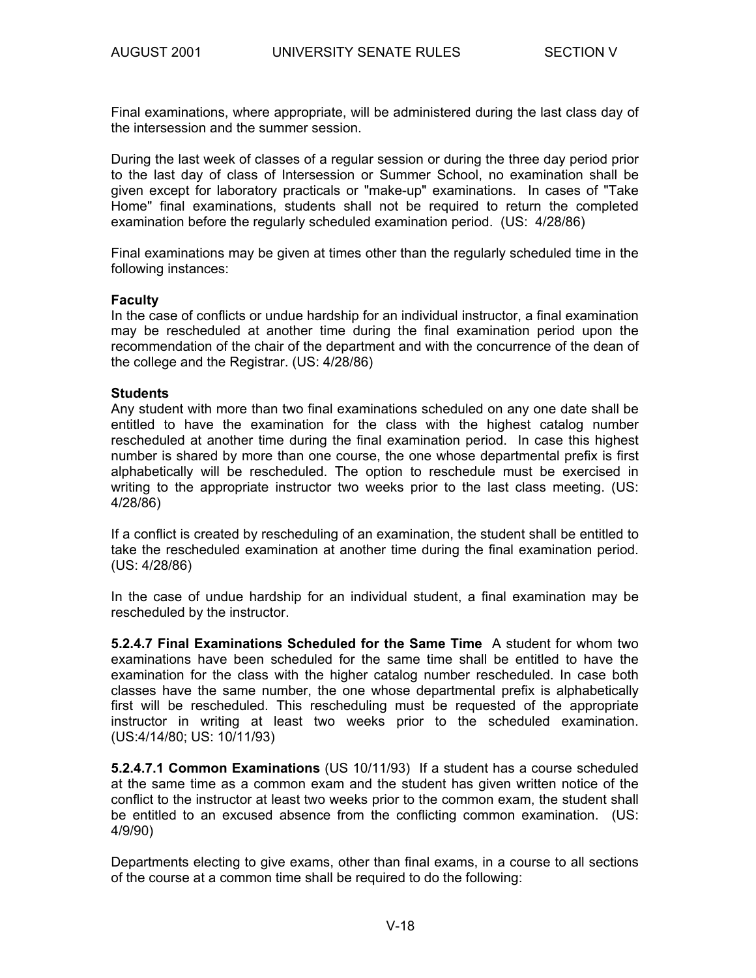Final examinations, where appropriate, will be administered during the last class day of the intersession and the summer session.

During the last week of classes of a regular session or during the three day period prior to the last day of class of Intersession or Summer School, no examination shall be given except for laboratory practicals or "make-up" examinations. In cases of "Take Home" final examinations, students shall not be required to return the completed examination before the regularly scheduled examination period. (US: 4/28/86)

Final examinations may be given at times other than the regularly scheduled time in the following instances:

#### **Faculty**

In the case of conflicts or undue hardship for an individual instructor, a final examination may be rescheduled at another time during the final examination period upon the recommendation of the chair of the department and with the concurrence of the dean of the college and the Registrar. (US: 4/28/86)

#### **Students**

Any student with more than two final examinations scheduled on any one date shall be entitled to have the examination for the class with the highest catalog number rescheduled at another time during the final examination period. In case this highest number is shared by more than one course, the one whose departmental prefix is first alphabetically will be rescheduled. The option to reschedule must be exercised in writing to the appropriate instructor two weeks prior to the last class meeting. (US: 4/28/86)

If a conflict is created by rescheduling of an examination, the student shall be entitled to take the rescheduled examination at another time during the final examination period. (US: 4/28/86)

In the case of undue hardship for an individual student, a final examination may be rescheduled by the instructor.

**5.2.4.7 Final Examinations Scheduled for the Same Time** A student for whom two examinations have been scheduled for the same time shall be entitled to have the examination for the class with the higher catalog number rescheduled. In case both classes have the same number, the one whose departmental prefix is alphabetically first will be rescheduled. This rescheduling must be requested of the appropriate instructor in writing at least two weeks prior to the scheduled examination. (US:4/14/80; US: 10/11/93)

**5.2.4.7.1 Common Examinations** (US 10/11/93) If a student has a course scheduled at the same time as a common exam and the student has given written notice of the conflict to the instructor at least two weeks prior to the common exam, the student shall be entitled to an excused absence from the conflicting common examination. (US: 4/9/90)

Departments electing to give exams, other than final exams, in a course to all sections of the course at a common time shall be required to do the following: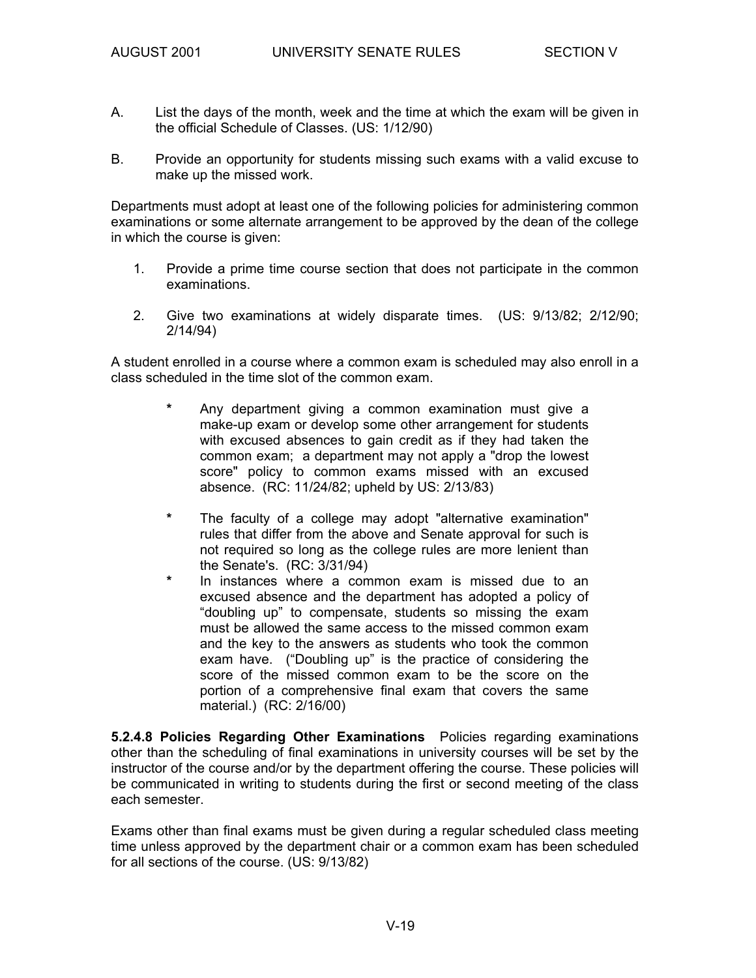- A. List the days of the month, week and the time at which the exam will be given in the official Schedule of Classes. (US: 1/12/90)
- B. Provide an opportunity for students missing such exams with a valid excuse to make up the missed work.

Departments must adopt at least one of the following policies for administering common examinations or some alternate arrangement to be approved by the dean of the college in which the course is given:

- 1. Provide a prime time course section that does not participate in the common examinations.
- 2. Give two examinations at widely disparate times. (US: 9/13/82; 2/12/90; 2/14/94)

A student enrolled in a course where a common exam is scheduled may also enroll in a class scheduled in the time slot of the common exam.

- Any department giving a common examination must give a make-up exam or develop some other arrangement for students with excused absences to gain credit as if they had taken the common exam; a department may not apply a "drop the lowest score" policy to common exams missed with an excused absence. (RC: 11/24/82; upheld by US: 2/13/83)
- **\*** The faculty of a college may adopt "alternative examination" rules that differ from the above and Senate approval for such is not required so long as the college rules are more lenient than the Senate's. (RC: 3/31/94)
- In instances where a common exam is missed due to an excused absence and the department has adopted a policy of "doubling up" to compensate, students so missing the exam must be allowed the same access to the missed common exam and the key to the answers as students who took the common exam have. ("Doubling up" is the practice of considering the score of the missed common exam to be the score on the portion of a comprehensive final exam that covers the same material.) (RC: 2/16/00)

**5.2.4.8 Policies Regarding Other Examinations** Policies regarding examinations other than the scheduling of final examinations in university courses will be set by the instructor of the course and/or by the department offering the course. These policies will be communicated in writing to students during the first or second meeting of the class each semester.

Exams other than final exams must be given during a regular scheduled class meeting time unless approved by the department chair or a common exam has been scheduled for all sections of the course. (US: 9/13/82)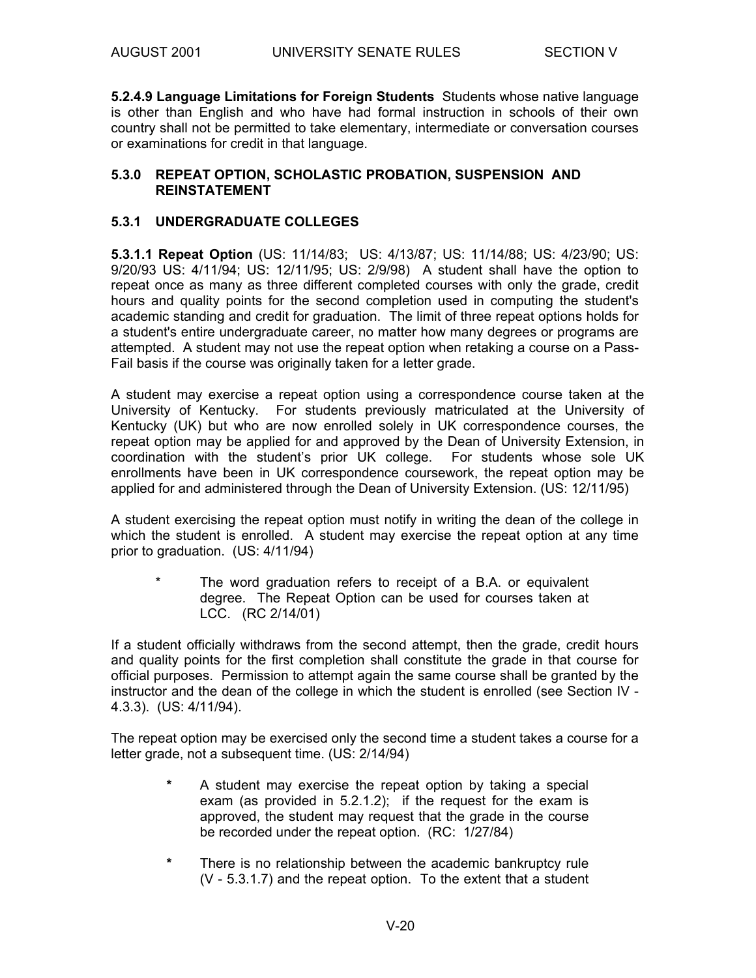**5.2.4.9 Language Limitations for Foreign Students** Students whose native language is other than English and who have had formal instruction in schools of their own country shall not be permitted to take elementary, intermediate or conversation courses or examinations for credit in that language.

#### **5.3.0 REPEAT OPTION, SCHOLASTIC PROBATION, SUSPENSION AND REINSTATEMENT**

#### **5.3.1 UNDERGRADUATE COLLEGES**

**5.3.1.1 Repeat Option** (US: 11/14/83; US: 4/13/87; US: 11/14/88; US: 4/23/90; US: 9/20/93 US: 4/11/94; US: 12/11/95; US: 2/9/98) A student shall have the option to repeat once as many as three different completed courses with only the grade, credit hours and quality points for the second completion used in computing the student's academic standing and credit for graduation. The limit of three repeat options holds for a student's entire undergraduate career, no matter how many degrees or programs are attempted. A student may not use the repeat option when retaking a course on a Pass-Fail basis if the course was originally taken for a letter grade.

A student may exercise a repeat option using a correspondence course taken at the University of Kentucky. For students previously matriculated at the University of Kentucky (UK) but who are now enrolled solely in UK correspondence courses, the repeat option may be applied for and approved by the Dean of University Extension, in coordination with the student's prior UK college. For students whose sole UK enrollments have been in UK correspondence coursework, the repeat option may be applied for and administered through the Dean of University Extension. (US: 12/11/95)

A student exercising the repeat option must notify in writing the dean of the college in which the student is enrolled. A student may exercise the repeat option at any time prior to graduation. (US: 4/11/94)

\* The word graduation refers to receipt of a B.A. or equivalent degree. The Repeat Option can be used for courses taken at LCC. (RC 2/14/01)

If a student officially withdraws from the second attempt, then the grade, credit hours and quality points for the first completion shall constitute the grade in that course for official purposes. Permission to attempt again the same course shall be granted by the instructor and the dean of the college in which the student is enrolled (see Section IV - 4.3.3). (US: 4/11/94).

The repeat option may be exercised only the second time a student takes a course for a letter grade, not a subsequent time. (US: 2/14/94)

- **\*** A student may exercise the repeat option by taking a special exam (as provided in 5.2.1.2); if the request for the exam is approved, the student may request that the grade in the course be recorded under the repeat option. (RC: 1/27/84)
- **\*** There is no relationship between the academic bankruptcy rule (V - 5.3.1.7) and the repeat option. To the extent that a student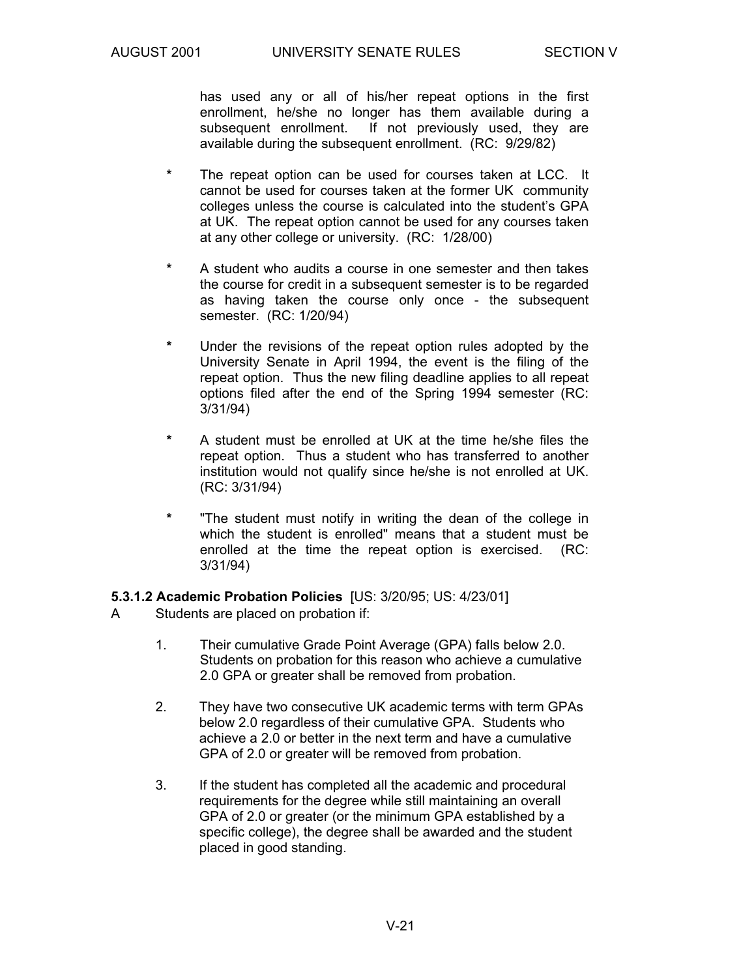has used any or all of his/her repeat options in the first enrollment, he/she no longer has them available during a subsequent enrollment. If not previously used, they are available during the subsequent enrollment. (RC: 9/29/82)

- The repeat option can be used for courses taken at LCC. It cannot be used for courses taken at the former UK community colleges unless the course is calculated into the student's GPA at UK. The repeat option cannot be used for any courses taken at any other college or university. (RC: 1/28/00)
- **\*** A student who audits a course in one semester and then takes the course for credit in a subsequent semester is to be regarded as having taken the course only once - the subsequent semester. (RC: 1/20/94)
- **\*** Under the revisions of the repeat option rules adopted by the University Senate in April 1994, the event is the filing of the repeat option. Thus the new filing deadline applies to all repeat options filed after the end of the Spring 1994 semester (RC: 3/31/94)
- **\*** A student must be enrolled at UK at the time he/she files the repeat option. Thus a student who has transferred to another institution would not qualify since he/she is not enrolled at UK. (RC: 3/31/94)
- **\*** "The student must notify in writing the dean of the college in which the student is enrolled" means that a student must be enrolled at the time the repeat option is exercised. (RC: 3/31/94)

**5.3.1.2 Academic Probation Policies** [US: 3/20/95; US: 4/23/01]

- A Students are placed on probation if:
	- 1. Their cumulative Grade Point Average (GPA) falls below 2.0. Students on probation for this reason who achieve a cumulative 2.0 GPA or greater shall be removed from probation.
	- 2. They have two consecutive UK academic terms with term GPAs below 2.0 regardless of their cumulative GPA. Students who achieve a 2.0 or better in the next term and have a cumulative GPA of 2.0 or greater will be removed from probation.
	- 3. If the student has completed all the academic and procedural requirements for the degree while still maintaining an overall GPA of 2.0 or greater (or the minimum GPA established by a specific college), the degree shall be awarded and the student placed in good standing.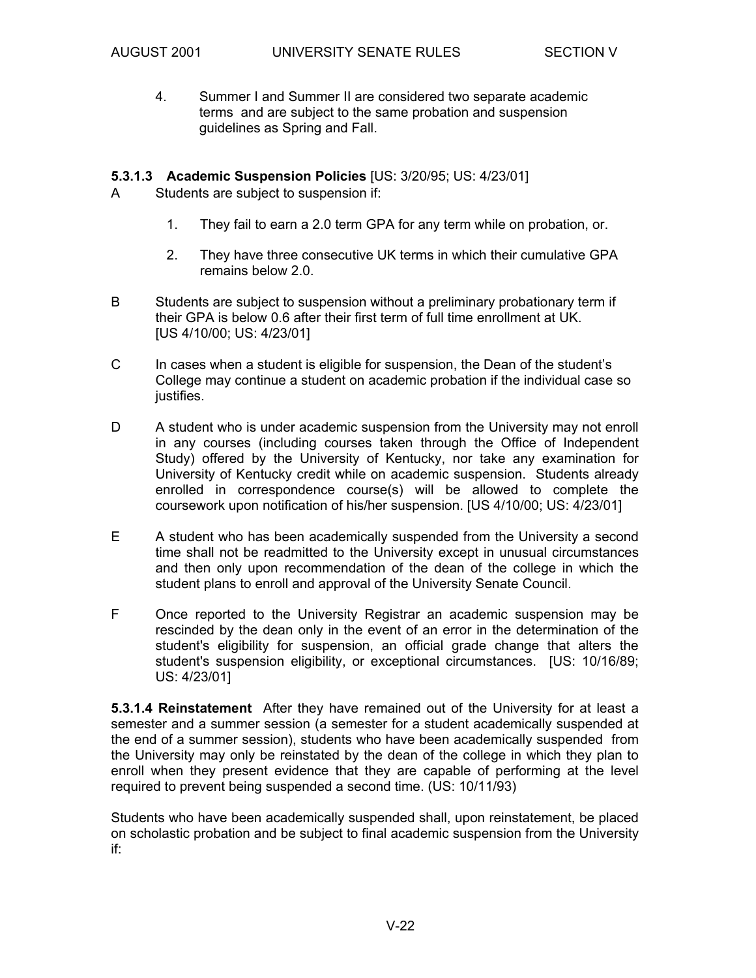4. Summer I and Summer II are considered two separate academic terms and are subject to the same probation and suspension guidelines as Spring and Fall.

#### **5.3.1.3 Academic Suspension Policies** [US: 3/20/95; US: 4/23/01]

A Students are subject to suspension if:

- 1. They fail to earn a 2.0 term GPA for any term while on probation, or.
- 2. They have three consecutive UK terms in which their cumulative GPA remains below 2.0.
- B Students are subject to suspension without a preliminary probationary term if their GPA is below 0.6 after their first term of full time enrollment at UK. [US 4/10/00; US: 4/23/01]
- C In cases when a student is eligible for suspension, the Dean of the student's College may continue a student on academic probation if the individual case so justifies.
- D A student who is under academic suspension from the University may not enroll in any courses (including courses taken through the Office of Independent Study) offered by the University of Kentucky, nor take any examination for University of Kentucky credit while on academic suspension. Students already enrolled in correspondence course(s) will be allowed to complete the coursework upon notification of his/her suspension. [US 4/10/00; US: 4/23/01]
- E A student who has been academically suspended from the University a second time shall not be readmitted to the University except in unusual circumstances and then only upon recommendation of the dean of the college in which the student plans to enroll and approval of the University Senate Council.
- F Once reported to the University Registrar an academic suspension may be rescinded by the dean only in the event of an error in the determination of the student's eligibility for suspension, an official grade change that alters the student's suspension eligibility, or exceptional circumstances. [US: 10/16/89; US: 4/23/01]

**5.3.1.4 Reinstatement** After they have remained out of the University for at least a semester and a summer session (a semester for a student academically suspended at the end of a summer session), students who have been academically suspended from the University may only be reinstated by the dean of the college in which they plan to enroll when they present evidence that they are capable of performing at the level required to prevent being suspended a second time. (US: 10/11/93)

Students who have been academically suspended shall, upon reinstatement, be placed on scholastic probation and be subject to final academic suspension from the University if: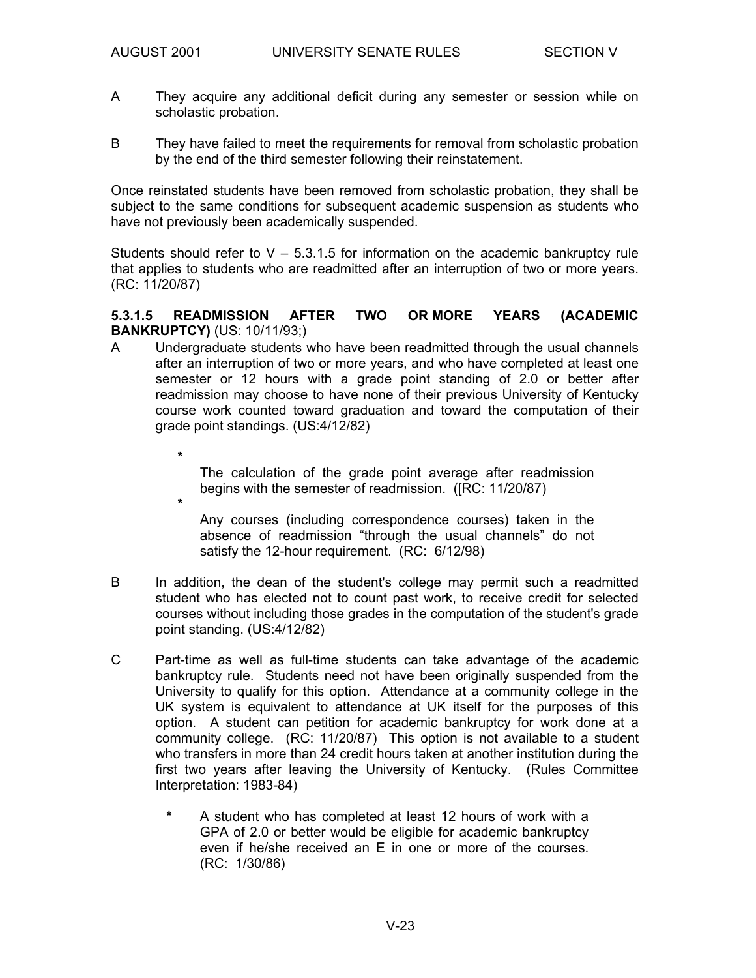**\***

**\***

- A They acquire any additional deficit during any semester or session while on scholastic probation.
- B They have failed to meet the requirements for removal from scholastic probation by the end of the third semester following their reinstatement.

Once reinstated students have been removed from scholastic probation, they shall be subject to the same conditions for subsequent academic suspension as students who have not previously been academically suspended.

Students should refer to  $V - 5.3.1.5$  for information on the academic bankruptcy rule that applies to students who are readmitted after an interruption of two or more years. (RC: 11/20/87)

#### **5.3.1.5 READMISSION AFTER TWO OR MORE YEARS (ACADEMIC BANKRUPTCY)** (US: 10/11/93;)

- A Undergraduate students who have been readmitted through the usual channels after an interruption of two or more years, and who have completed at least one semester or 12 hours with a grade point standing of 2.0 or better after readmission may choose to have none of their previous University of Kentucky course work counted toward graduation and toward the computation of their grade point standings. (US:4/12/82)
	- The calculation of the grade point average after readmission begins with the semester of readmission. ([RC: 11/20/87)

 Any courses (including correspondence courses) taken in the absence of readmission "through the usual channels" do not satisfy the 12-hour requirement. (RC: 6/12/98)

- B In addition, the dean of the student's college may permit such a readmitted student who has elected not to count past work, to receive credit for selected courses without including those grades in the computation of the student's grade point standing. (US:4/12/82)
- C Part-time as well as full-time students can take advantage of the academic bankruptcy rule. Students need not have been originally suspended from the University to qualify for this option. Attendance at a community college in the UK system is equivalent to attendance at UK itself for the purposes of this option. A student can petition for academic bankruptcy for work done at a community college. (RC: 11/20/87) This option is not available to a student who transfers in more than 24 credit hours taken at another institution during the first two years after leaving the University of Kentucky. (Rules Committee Interpretation: 1983-84)
	- **\*** A student who has completed at least 12 hours of work with a GPA of 2.0 or better would be eligible for academic bankruptcy even if he/she received an E in one or more of the courses. (RC: 1/30/86)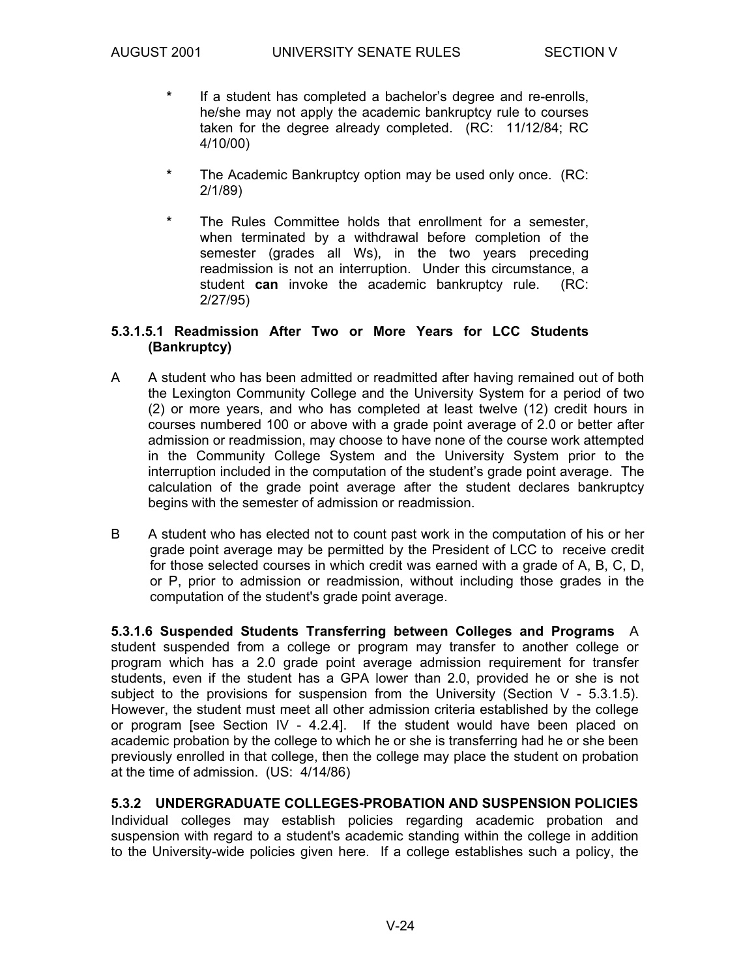- **\*** If a student has completed a bachelor's degree and re-enrolls, he/she may not apply the academic bankruptcy rule to courses taken for the degree already completed. (RC: 11/12/84; RC 4/10/00)
- **\*** The Academic Bankruptcy option may be used only once. (RC: 2/1/89)
- **\*** The Rules Committee holds that enrollment for a semester, when terminated by a withdrawal before completion of the semester (grades all Ws), in the two years preceding readmission is not an interruption. Under this circumstance, a student **can** invoke the academic bankruptcy rule. (RC: 2/27/95)

#### **5.3.1.5.1 Readmission After Two or More Years for LCC Students (Bankruptcy)**

- A A student who has been admitted or readmitted after having remained out of both the Lexington Community College and the University System for a period of two (2) or more years, and who has completed at least twelve (12) credit hours in courses numbered 100 or above with a grade point average of 2.0 or better after admission or readmission, may choose to have none of the course work attempted in the Community College System and the University System prior to the interruption included in the computation of the student's grade point average. The calculation of the grade point average after the student declares bankruptcy begins with the semester of admission or readmission.
- B A student who has elected not to count past work in the computation of his or her grade point average may be permitted by the President of LCC to receive credit for those selected courses in which credit was earned with a grade of A, B, C, D, or P, prior to admission or readmission, without including those grades in the computation of the student's grade point average.

**5.3.1.6 Suspended Students Transferring between Colleges and Programs** A student suspended from a college or program may transfer to another college or program which has a 2.0 grade point average admission requirement for transfer students, even if the student has a GPA lower than 2.0, provided he or she is not subject to the provisions for suspension from the University (Section  $V - 5.3.1.5$ ). However, the student must meet all other admission criteria established by the college or program [see Section IV - 4.2.4]. If the student would have been placed on academic probation by the college to which he or she is transferring had he or she been previously enrolled in that college, then the college may place the student on probation at the time of admission. (US: 4/14/86)

### **5.3.2 UNDERGRADUATE COLLEGES-PROBATION AND SUSPENSION POLICIES**

Individual colleges may establish policies regarding academic probation and suspension with regard to a student's academic standing within the college in addition to the University-wide policies given here. If a college establishes such a policy, the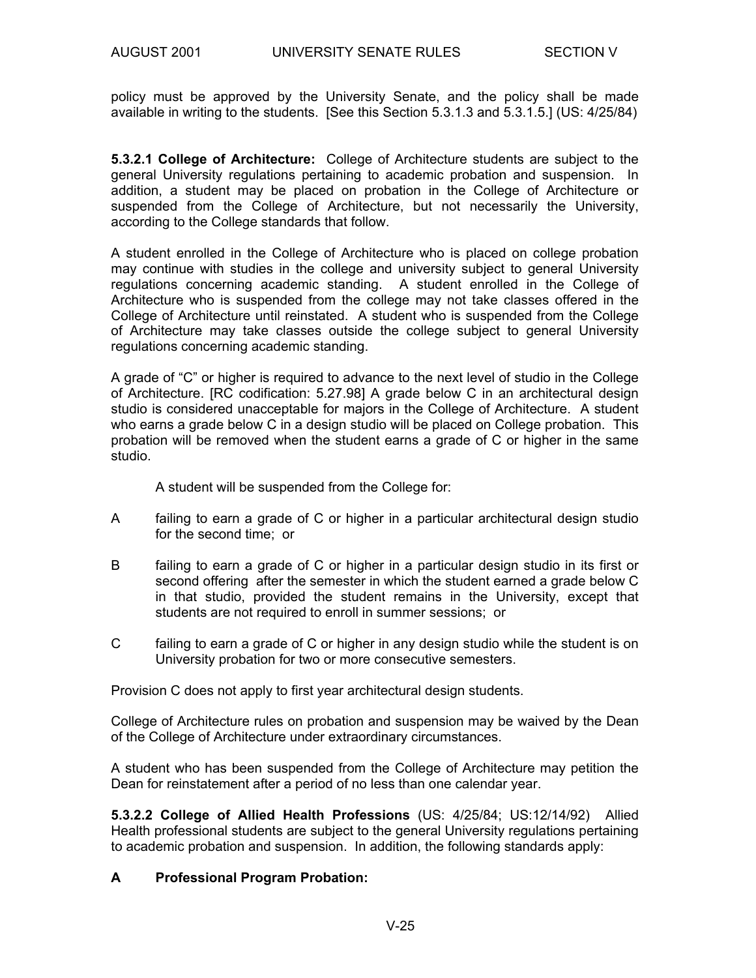policy must be approved by the University Senate, and the policy shall be made available in writing to the students. [See this Section 5.3.1.3 and 5.3.1.5.] (US: 4/25/84)

**5.3.2.1 College of Architecture:** College of Architecture students are subject to the general University regulations pertaining to academic probation and suspension. In addition, a student may be placed on probation in the College of Architecture or suspended from the College of Architecture, but not necessarily the University, according to the College standards that follow.

A student enrolled in the College of Architecture who is placed on college probation may continue with studies in the college and university subject to general University regulations concerning academic standing. A student enrolled in the College of Architecture who is suspended from the college may not take classes offered in the College of Architecture until reinstated. A student who is suspended from the College of Architecture may take classes outside the college subject to general University regulations concerning academic standing.

A grade of "C" or higher is required to advance to the next level of studio in the College of Architecture. [RC codification: 5.27.98] A grade below C in an architectural design studio is considered unacceptable for majors in the College of Architecture. A student who earns a grade below C in a design studio will be placed on College probation. This probation will be removed when the student earns a grade of C or higher in the same studio.

A student will be suspended from the College for:

- A failing to earn a grade of C or higher in a particular architectural design studio for the second time; or
- B failing to earn a grade of C or higher in a particular design studio in its first or second offering after the semester in which the student earned a grade below C in that studio, provided the student remains in the University, except that students are not required to enroll in summer sessions; or
- C failing to earn a grade of C or higher in any design studio while the student is on University probation for two or more consecutive semesters.

Provision C does not apply to first year architectural design students.

College of Architecture rules on probation and suspension may be waived by the Dean of the College of Architecture under extraordinary circumstances.

A student who has been suspended from the College of Architecture may petition the Dean for reinstatement after a period of no less than one calendar year.

**5.3.2.2 College of Allied Health Professions** (US: 4/25/84; US:12/14/92) Allied Health professional students are subject to the general University regulations pertaining to academic probation and suspension. In addition, the following standards apply:

#### **A Professional Program Probation:**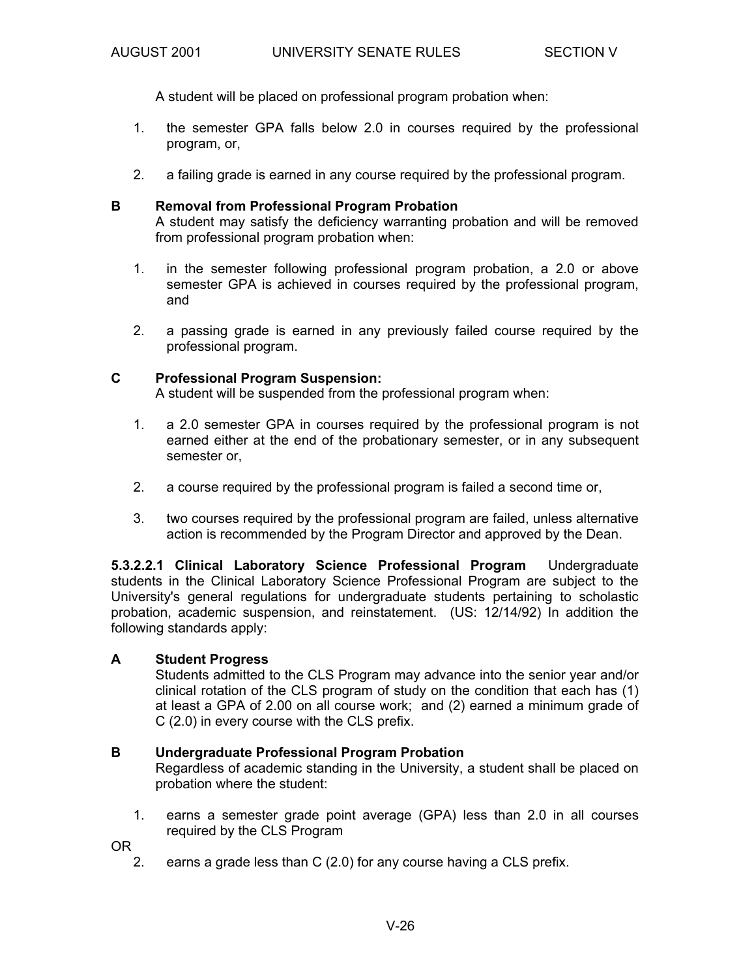A student will be placed on professional program probation when:

- 1. the semester GPA falls below 2.0 in courses required by the professional program, or,
- 2. a failing grade is earned in any course required by the professional program.

#### **B Removal from Professional Program Probation**

 A student may satisfy the deficiency warranting probation and will be removed from professional program probation when:

- 1. in the semester following professional program probation, a 2.0 or above semester GPA is achieved in courses required by the professional program, and
- 2. a passing grade is earned in any previously failed course required by the professional program.

#### **C Professional Program Suspension:**

A student will be suspended from the professional program when:

- 1. a 2.0 semester GPA in courses required by the professional program is not earned either at the end of the probationary semester, or in any subsequent semester or,
- 2. a course required by the professional program is failed a second time or,
- 3. two courses required by the professional program are failed, unless alternative action is recommended by the Program Director and approved by the Dean.

**5.3.2.2.1 Clinical Laboratory Science Professional Program** Undergraduate students in the Clinical Laboratory Science Professional Program are subject to the University's general regulations for undergraduate students pertaining to scholastic probation, academic suspension, and reinstatement. (US: 12/14/92) In addition the following standards apply:

#### **A Student Progress**

 Students admitted to the CLS Program may advance into the senior year and/or clinical rotation of the CLS program of study on the condition that each has (1) at least a GPA of 2.00 on all course work; and (2) earned a minimum grade of C (2.0) in every course with the CLS prefix.

#### **B Undergraduate Professional Program Probation**

 Regardless of academic standing in the University, a student shall be placed on probation where the student:

 1. earns a semester grade point average (GPA) less than 2.0 in all courses required by the CLS Program

OR

2. earns a grade less than C (2.0) for any course having a CLS prefix.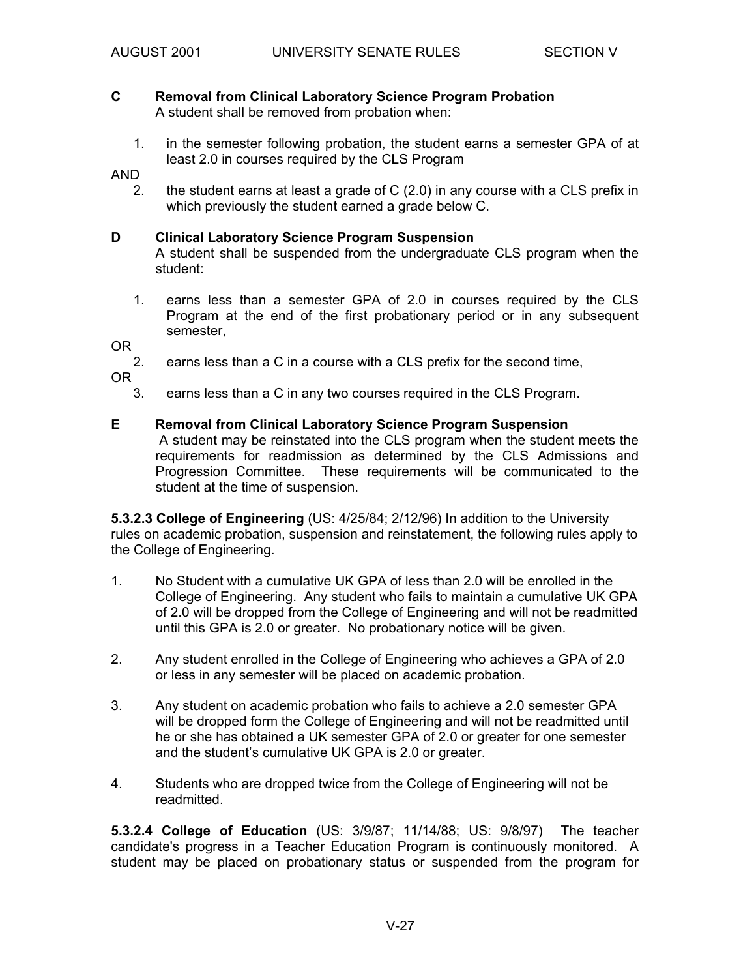#### **C Removal from Clinical Laboratory Science Program Probation**  A student shall be removed from probation when:

 1. in the semester following probation, the student earns a semester GPA of at least 2.0 in courses required by the CLS Program

AND

 2. the student earns at least a grade of C (2.0) in any course with a CLS prefix in which previously the student earned a grade below C.

#### **D Clinical Laboratory Science Program Suspension**

 A student shall be suspended from the undergraduate CLS program when the student:

 1. earns less than a semester GPA of 2.0 in courses required by the CLS Program at the end of the first probationary period or in any subsequent semester,

OR

2. earns less than a C in a course with a CLS prefix for the second time,

OR

3. earns less than a C in any two courses required in the CLS Program.

#### **E Removal from Clinical Laboratory Science Program Suspension**

A student may be reinstated into the CLS program when the student meets the requirements for readmission as determined by the CLS Admissions and Progression Committee. These requirements will be communicated to the student at the time of suspension.

**5.3.2.3 College of Engineering** (US: 4/25/84; 2/12/96) In addition to the University rules on academic probation, suspension and reinstatement, the following rules apply to the College of Engineering.

- 1. No Student with a cumulative UK GPA of less than 2.0 will be enrolled in the College of Engineering. Any student who fails to maintain a cumulative UK GPA of 2.0 will be dropped from the College of Engineering and will not be readmitted until this GPA is 2.0 or greater. No probationary notice will be given.
- 2. Any student enrolled in the College of Engineering who achieves a GPA of 2.0 or less in any semester will be placed on academic probation.
- 3. Any student on academic probation who fails to achieve a 2.0 semester GPA will be dropped form the College of Engineering and will not be readmitted until he or she has obtained a UK semester GPA of 2.0 or greater for one semester and the student's cumulative UK GPA is 2.0 or greater.
- 4. Students who are dropped twice from the College of Engineering will not be readmitted.

**5.3.2.4 College of Education** (US: 3/9/87; 11/14/88; US: 9/8/97)The teacher candidate's progress in a Teacher Education Program is continuously monitored. A student may be placed on probationary status or suspended from the program for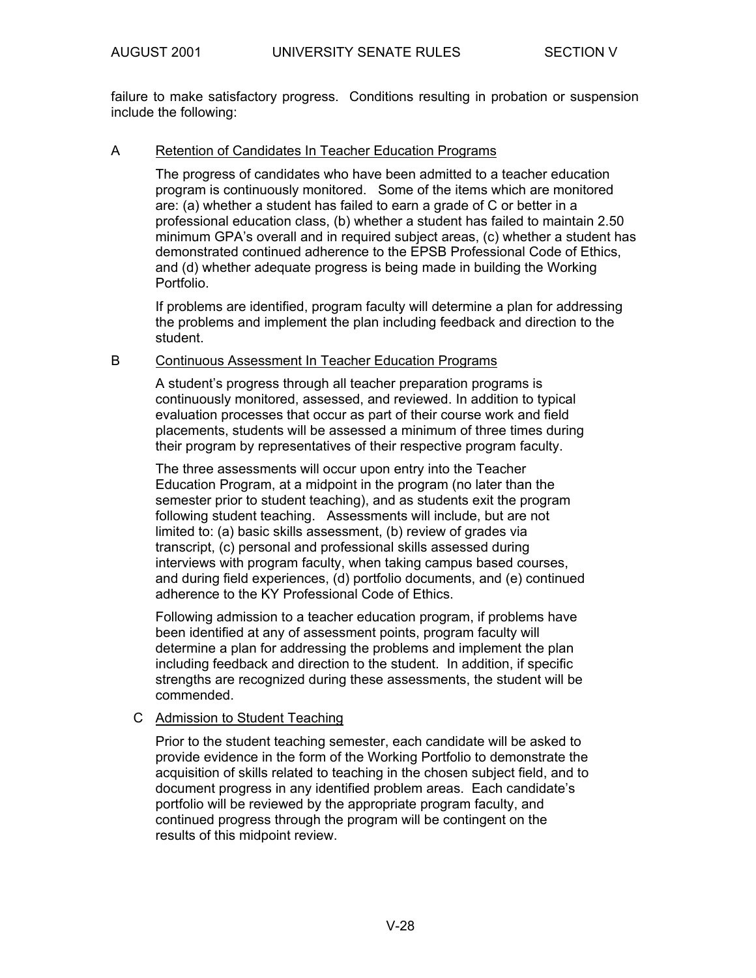failure to make satisfactory progress. Conditions resulting in probation or suspension include the following:

#### A Retention of Candidates In Teacher Education Programs

The progress of candidates who have been admitted to a teacher education program is continuously monitored. Some of the items which are monitored are: (a) whether a student has failed to earn a grade of C or better in a professional education class, (b) whether a student has failed to maintain 2.50 minimum GPA's overall and in required subject areas, (c) whether a student has demonstrated continued adherence to the EPSB Professional Code of Ethics, and (d) whether adequate progress is being made in building the Working Portfolio.

If problems are identified, program faculty will determine a plan for addressing the problems and implement the plan including feedback and direction to the student.

#### B Continuous Assessment In Teacher Education Programs

A student's progress through all teacher preparation programs is continuously monitored, assessed, and reviewed. In addition to typical evaluation processes that occur as part of their course work and field placements, students will be assessed a minimum of three times during their program by representatives of their respective program faculty.

The three assessments will occur upon entry into the Teacher Education Program, at a midpoint in the program (no later than the semester prior to student teaching), and as students exit the program following student teaching. Assessments will include, but are not limited to: (a) basic skills assessment, (b) review of grades via transcript, (c) personal and professional skills assessed during interviews with program faculty, when taking campus based courses, and during field experiences, (d) portfolio documents, and (e) continued adherence to the KY Professional Code of Ethics.

Following admission to a teacher education program, if problems have been identified at any of assessment points, program faculty will determine a plan for addressing the problems and implement the plan including feedback and direction to the student. In addition, if specific strengths are recognized during these assessments, the student will be commended.

#### C Admission to Student Teaching

Prior to the student teaching semester, each candidate will be asked to provide evidence in the form of the Working Portfolio to demonstrate the acquisition of skills related to teaching in the chosen subject field, and to document progress in any identified problem areas. Each candidate's portfolio will be reviewed by the appropriate program faculty, and continued progress through the program will be contingent on the results of this midpoint review.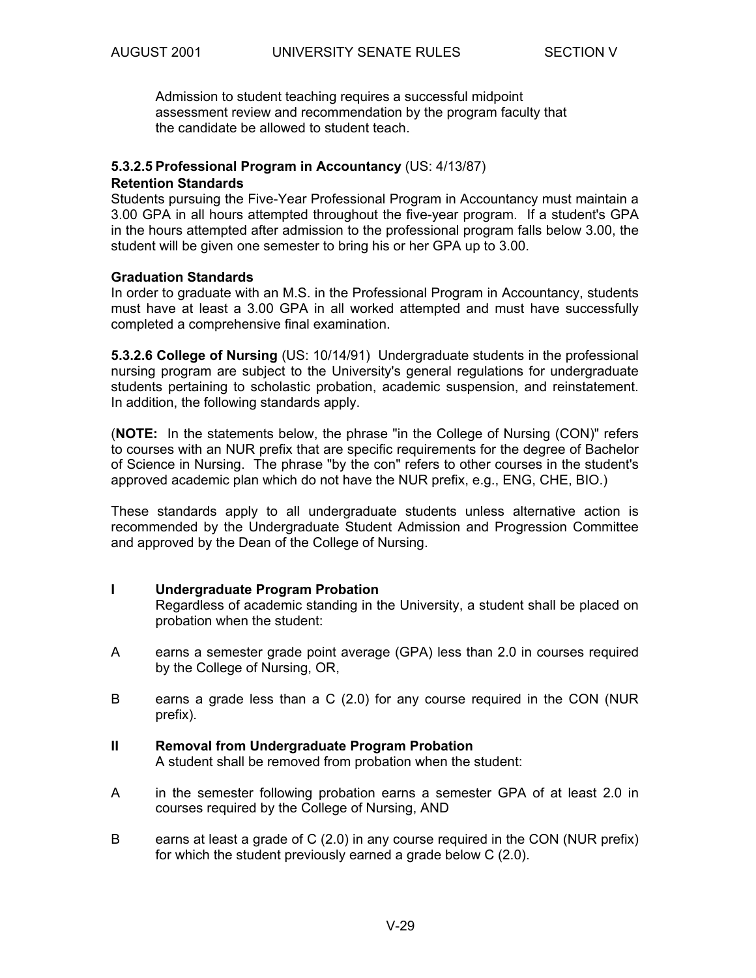Admission to student teaching requires a successful midpoint assessment review and recommendation by the program faculty that the candidate be allowed to student teach.

#### **5.3.2.5 Professional Program in Accountancy** (US: 4/13/87)

#### **Retention Standards**

Students pursuing the Five-Year Professional Program in Accountancy must maintain a 3.00 GPA in all hours attempted throughout the five-year program. If a student's GPA in the hours attempted after admission to the professional program falls below 3.00, the student will be given one semester to bring his or her GPA up to 3.00.

#### **Graduation Standards**

In order to graduate with an M.S. in the Professional Program in Accountancy, students must have at least a 3.00 GPA in all worked attempted and must have successfully completed a comprehensive final examination.

**5.3.2.6 College of Nursing** (US: 10/14/91) Undergraduate students in the professional nursing program are subject to the University's general regulations for undergraduate students pertaining to scholastic probation, academic suspension, and reinstatement. In addition, the following standards apply.

(**NOTE:** In the statements below, the phrase "in the College of Nursing (CON)" refers to courses with an NUR prefix that are specific requirements for the degree of Bachelor of Science in Nursing. The phrase "by the con" refers to other courses in the student's approved academic plan which do not have the NUR prefix, e.g., ENG, CHE, BIO.)

These standards apply to all undergraduate students unless alternative action is recommended by the Undergraduate Student Admission and Progression Committee and approved by the Dean of the College of Nursing.

#### **I Undergraduate Program Probation**

 Regardless of academic standing in the University, a student shall be placed on probation when the student:

- A earns a semester grade point average (GPA) less than 2.0 in courses required by the College of Nursing, OR,
- B earns a grade less than a C (2.0) for any course required in the CON (NUR prefix).
- **II Removal from Undergraduate Program Probation**  A student shall be removed from probation when the student:
- A in the semester following probation earns a semester GPA of at least 2.0 in courses required by the College of Nursing, AND
- B earns at least a grade of C (2.0) in any course required in the CON (NUR prefix) for which the student previously earned a grade below C (2.0).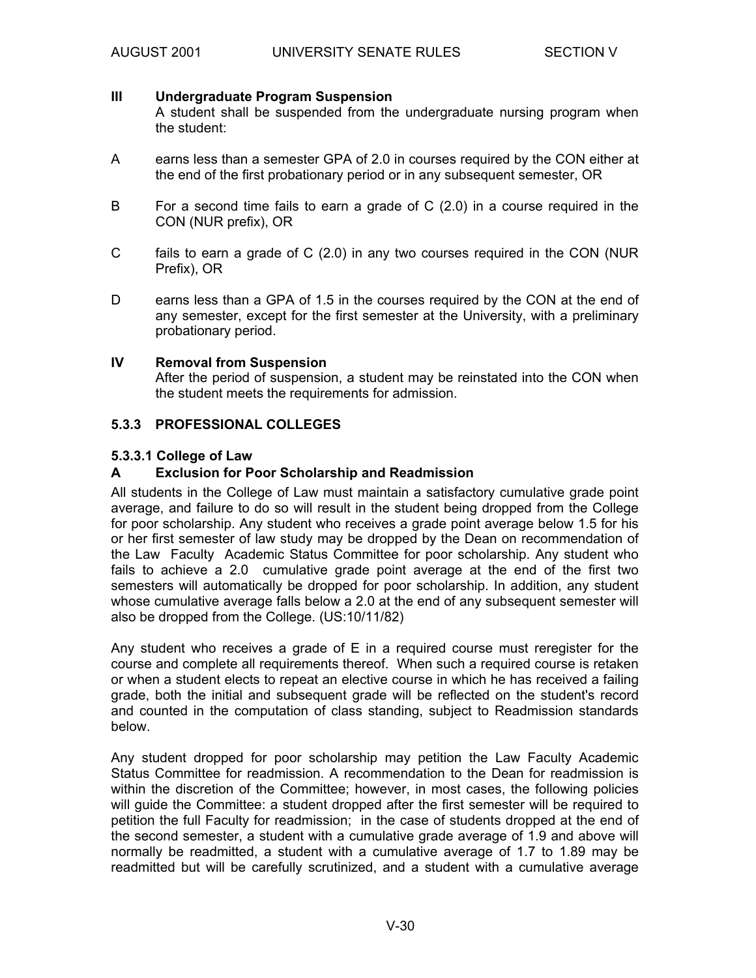#### **III Undergraduate Program Suspension**

 A student shall be suspended from the undergraduate nursing program when the student:

- A earns less than a semester GPA of 2.0 in courses required by the CON either at the end of the first probationary period or in any subsequent semester, OR
- B For a second time fails to earn a grade of C (2.0) in a course required in the CON (NUR prefix), OR
- C fails to earn a grade of C (2.0) in any two courses required in the CON (NUR Prefix), OR
- D earns less than a GPA of 1.5 in the courses required by the CON at the end of any semester, except for the first semester at the University, with a preliminary probationary period.

#### **IV Removal from Suspension**

 After the period of suspension, a student may be reinstated into the CON when the student meets the requirements for admission.

#### **5.3.3 PROFESSIONAL COLLEGES**

#### **5.3.3.1 College of Law**

#### **A Exclusion for Poor Scholarship and Readmission**

All students in the College of Law must maintain a satisfactory cumulative grade point average, and failure to do so will result in the student being dropped from the College for poor scholarship. Any student who receives a grade point average below 1.5 for his or her first semester of law study may be dropped by the Dean on recommendation of the Law Faculty Academic Status Committee for poor scholarship. Any student who fails to achieve a 2.0 cumulative grade point average at the end of the first two semesters will automatically be dropped for poor scholarship. In addition, any student whose cumulative average falls below a 2.0 at the end of any subsequent semester will also be dropped from the College. (US:10/11/82)

Any student who receives a grade of E in a required course must reregister for the course and complete all requirements thereof. When such a required course is retaken or when a student elects to repeat an elective course in which he has received a failing grade, both the initial and subsequent grade will be reflected on the student's record and counted in the computation of class standing, subject to Readmission standards below.

Any student dropped for poor scholarship may petition the Law Faculty Academic Status Committee for readmission. A recommendation to the Dean for readmission is within the discretion of the Committee; however, in most cases, the following policies will guide the Committee: a student dropped after the first semester will be required to petition the full Faculty for readmission; in the case of students dropped at the end of the second semester, a student with a cumulative grade average of 1.9 and above will normally be readmitted, a student with a cumulative average of 1.7 to 1.89 may be readmitted but will be carefully scrutinized, and a student with a cumulative average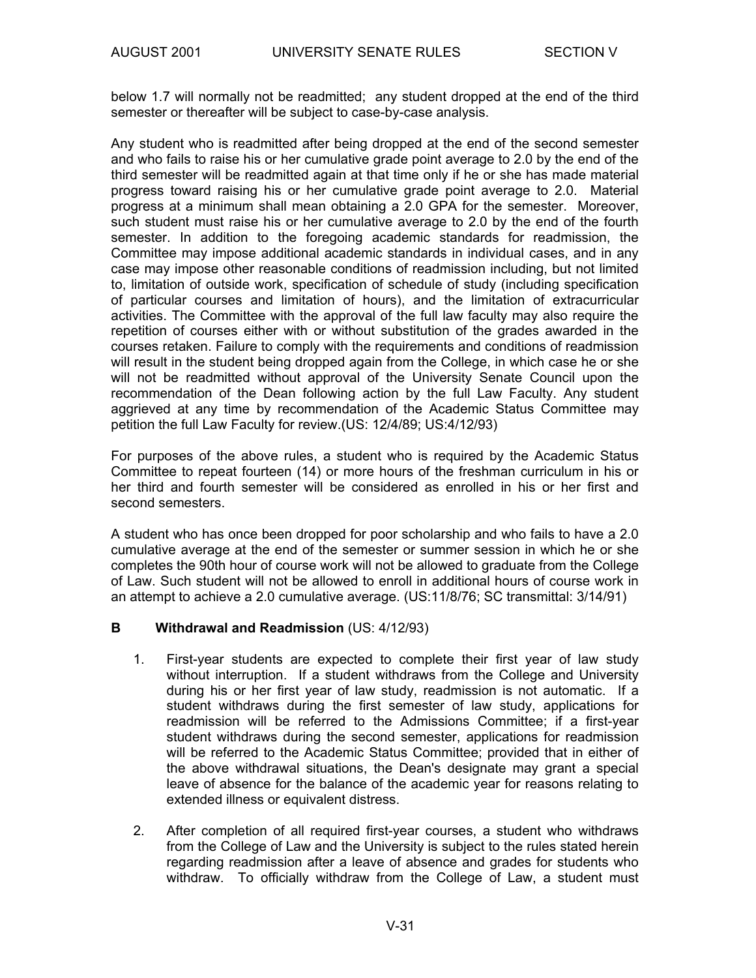below 1.7 will normally not be readmitted; any student dropped at the end of the third semester or thereafter will be subject to case-by-case analysis.

Any student who is readmitted after being dropped at the end of the second semester and who fails to raise his or her cumulative grade point average to 2.0 by the end of the third semester will be readmitted again at that time only if he or she has made material progress toward raising his or her cumulative grade point average to 2.0. Material progress at a minimum shall mean obtaining a 2.0 GPA for the semester. Moreover, such student must raise his or her cumulative average to 2.0 by the end of the fourth semester. In addition to the foregoing academic standards for readmission, the Committee may impose additional academic standards in individual cases, and in any case may impose other reasonable conditions of readmission including, but not limited to, limitation of outside work, specification of schedule of study (including specification of particular courses and limitation of hours), and the limitation of extracurricular activities. The Committee with the approval of the full law faculty may also require the repetition of courses either with or without substitution of the grades awarded in the courses retaken. Failure to comply with the requirements and conditions of readmission will result in the student being dropped again from the College, in which case he or she will not be readmitted without approval of the University Senate Council upon the recommendation of the Dean following action by the full Law Faculty. Any student aggrieved at any time by recommendation of the Academic Status Committee may petition the full Law Faculty for review.(US: 12/4/89; US:4/12/93)

For purposes of the above rules, a student who is required by the Academic Status Committee to repeat fourteen (14) or more hours of the freshman curriculum in his or her third and fourth semester will be considered as enrolled in his or her first and second semesters.

A student who has once been dropped for poor scholarship and who fails to have a 2.0 cumulative average at the end of the semester or summer session in which he or she completes the 90th hour of course work will not be allowed to graduate from the College of Law. Such student will not be allowed to enroll in additional hours of course work in an attempt to achieve a 2.0 cumulative average. (US:11/8/76; SC transmittal: 3/14/91)

#### **B Withdrawal and Readmission** (US: 4/12/93)

- 1. First-year students are expected to complete their first year of law study without interruption. If a student withdraws from the College and University during his or her first year of law study, readmission is not automatic. If a student withdraws during the first semester of law study, applications for readmission will be referred to the Admissions Committee; if a first-year student withdraws during the second semester, applications for readmission will be referred to the Academic Status Committee; provided that in either of the above withdrawal situations, the Dean's designate may grant a special leave of absence for the balance of the academic year for reasons relating to extended illness or equivalent distress.
- 2. After completion of all required first-year courses, a student who withdraws from the College of Law and the University is subject to the rules stated herein regarding readmission after a leave of absence and grades for students who withdraw. To officially withdraw from the College of Law, a student must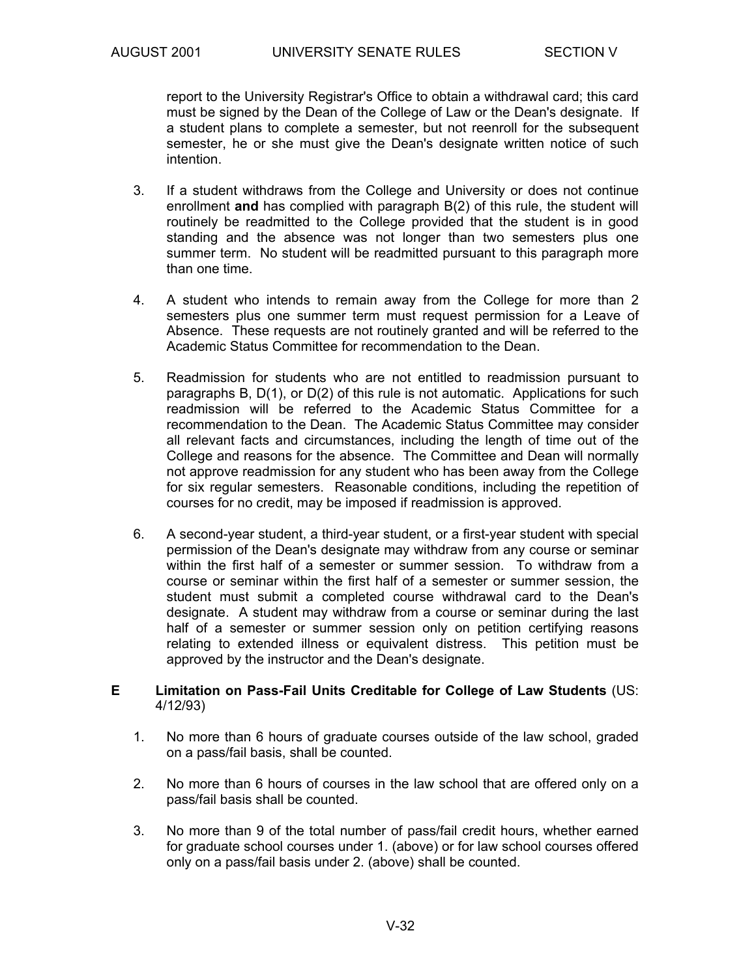report to the University Registrar's Office to obtain a withdrawal card; this card must be signed by the Dean of the College of Law or the Dean's designate. If a student plans to complete a semester, but not reenroll for the subsequent semester, he or she must give the Dean's designate written notice of such intention.

- 3. If a student withdraws from the College and University or does not continue enrollment **and** has complied with paragraph B(2) of this rule, the student will routinely be readmitted to the College provided that the student is in good standing and the absence was not longer than two semesters plus one summer term. No student will be readmitted pursuant to this paragraph more than one time.
- 4. A student who intends to remain away from the College for more than 2 semesters plus one summer term must request permission for a Leave of Absence. These requests are not routinely granted and will be referred to the Academic Status Committee for recommendation to the Dean.
- 5. Readmission for students who are not entitled to readmission pursuant to paragraphs B, D(1), or D(2) of this rule is not automatic. Applications for such readmission will be referred to the Academic Status Committee for a recommendation to the Dean. The Academic Status Committee may consider all relevant facts and circumstances, including the length of time out of the College and reasons for the absence. The Committee and Dean will normally not approve readmission for any student who has been away from the College for six regular semesters. Reasonable conditions, including the repetition of courses for no credit, may be imposed if readmission is approved.
- 6. A second-year student, a third-year student, or a first-year student with special permission of the Dean's designate may withdraw from any course or seminar within the first half of a semester or summer session. To withdraw from a course or seminar within the first half of a semester or summer session, the student must submit a completed course withdrawal card to the Dean's designate. A student may withdraw from a course or seminar during the last half of a semester or summer session only on petition certifying reasons relating to extended illness or equivalent distress. This petition must be approved by the instructor and the Dean's designate.

#### **E Limitation on Pass-Fail Units Creditable for College of Law Students** (US: 4/12/93)

- 1. No more than 6 hours of graduate courses outside of the law school, graded on a pass/fail basis, shall be counted.
- 2. No more than 6 hours of courses in the law school that are offered only on a pass/fail basis shall be counted.
- 3. No more than 9 of the total number of pass/fail credit hours, whether earned for graduate school courses under 1. (above) or for law school courses offered only on a pass/fail basis under 2. (above) shall be counted.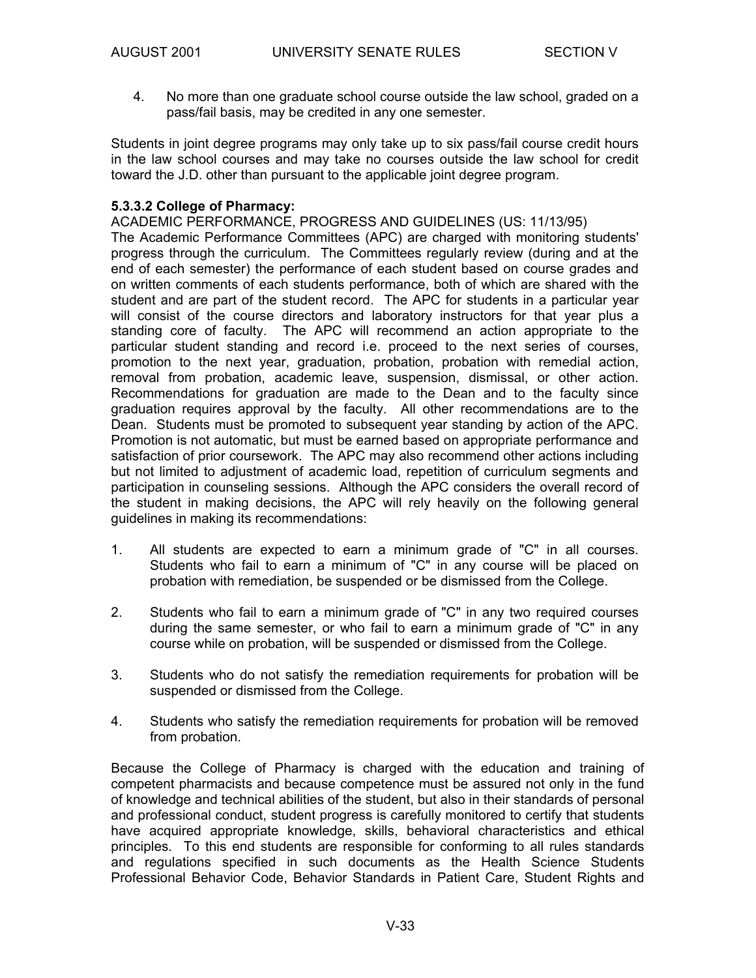4. No more than one graduate school course outside the law school, graded on a pass/fail basis, may be credited in any one semester.

Students in joint degree programs may only take up to six pass/fail course credit hours in the law school courses and may take no courses outside the law school for credit toward the J.D. other than pursuant to the applicable joint degree program.

#### **5.3.3.2 College of Pharmacy:**

ACADEMIC PERFORMANCE, PROGRESS AND GUIDELINES (US: 11/13/95) The Academic Performance Committees (APC) are charged with monitoring students' progress through the curriculum. The Committees regularly review (during and at the end of each semester) the performance of each student based on course grades and on written comments of each students performance, both of which are shared with the student and are part of the student record. The APC for students in a particular year will consist of the course directors and laboratory instructors for that year plus a standing core of faculty. The APC will recommend an action appropriate to the particular student standing and record i.e. proceed to the next series of courses, promotion to the next year, graduation, probation, probation with remedial action, removal from probation, academic leave, suspension, dismissal, or other action. Recommendations for graduation are made to the Dean and to the faculty since graduation requires approval by the faculty. All other recommendations are to the Dean. Students must be promoted to subsequent year standing by action of the APC. Promotion is not automatic, but must be earned based on appropriate performance and satisfaction of prior coursework. The APC may also recommend other actions including but not limited to adjustment of academic load, repetition of curriculum segments and participation in counseling sessions. Although the APC considers the overall record of the student in making decisions, the APC will rely heavily on the following general guidelines in making its recommendations:

- 1. All students are expected to earn a minimum grade of "C" in all courses. Students who fail to earn a minimum of "C" in any course will be placed on probation with remediation, be suspended or be dismissed from the College.
- 2. Students who fail to earn a minimum grade of "C" in any two required courses during the same semester, or who fail to earn a minimum grade of "C" in any course while on probation, will be suspended or dismissed from the College.
- 3. Students who do not satisfy the remediation requirements for probation will be suspended or dismissed from the College.
- 4. Students who satisfy the remediation requirements for probation will be removed from probation.

Because the College of Pharmacy is charged with the education and training of competent pharmacists and because competence must be assured not only in the fund of knowledge and technical abilities of the student, but also in their standards of personal and professional conduct, student progress is carefully monitored to certify that students have acquired appropriate knowledge, skills, behavioral characteristics and ethical principles. To this end students are responsible for conforming to all rules standards and regulations specified in such documents as the Health Science Students Professional Behavior Code, Behavior Standards in Patient Care, Student Rights and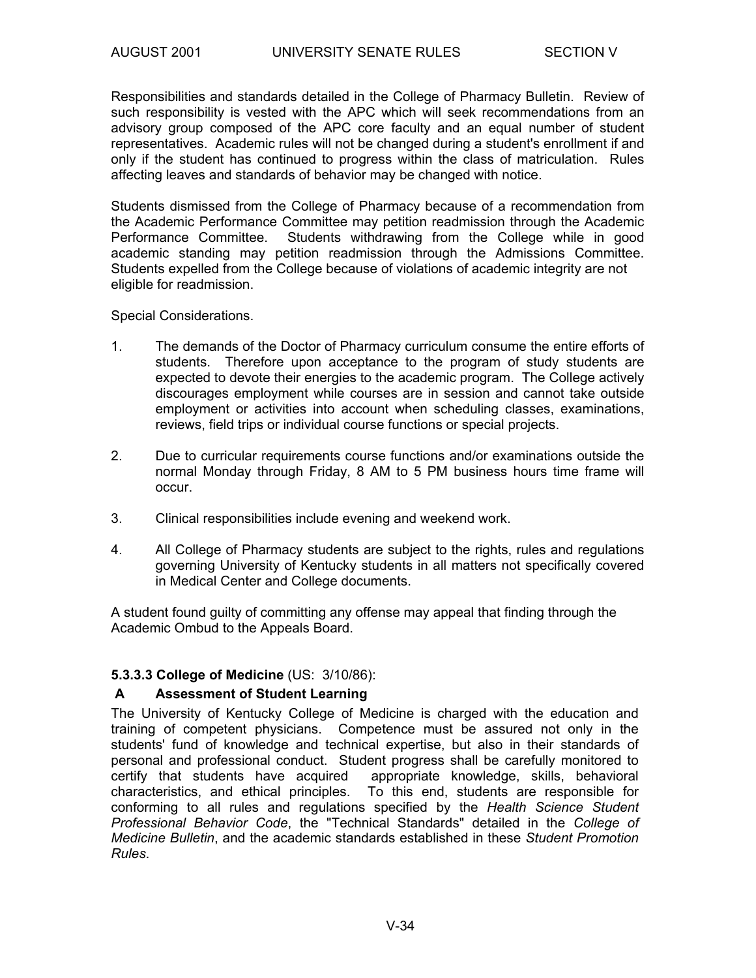Responsibilities and standards detailed in the College of Pharmacy Bulletin. Review of such responsibility is vested with the APC which will seek recommendations from an advisory group composed of the APC core faculty and an equal number of student representatives. Academic rules will not be changed during a student's enrollment if and only if the student has continued to progress within the class of matriculation. Rules affecting leaves and standards of behavior may be changed with notice.

Students dismissed from the College of Pharmacy because of a recommendation from the Academic Performance Committee may petition readmission through the Academic Performance Committee. Students withdrawing from the College while in good academic standing may petition readmission through the Admissions Committee. Students expelled from the College because of violations of academic integrity are not eligible for readmission.

#### Special Considerations.

- 1. The demands of the Doctor of Pharmacy curriculum consume the entire efforts of students. Therefore upon acceptance to the program of study students are expected to devote their energies to the academic program. The College actively discourages employment while courses are in session and cannot take outside employment or activities into account when scheduling classes, examinations, reviews, field trips or individual course functions or special projects.
- 2. Due to curricular requirements course functions and/or examinations outside the normal Monday through Friday, 8 AM to 5 PM business hours time frame will occur.
- 3. Clinical responsibilities include evening and weekend work.
- 4. All College of Pharmacy students are subject to the rights, rules and regulations governing University of Kentucky students in all matters not specifically covered in Medical Center and College documents.

A student found guilty of committing any offense may appeal that finding through the Academic Ombud to the Appeals Board.

#### **5.3.3.3 College of Medicine** (US: 3/10/86):

#### **A Assessment of Student Learning**

The University of Kentucky College of Medicine is charged with the education and training of competent physicians. Competence must be assured not only in the students' fund of knowledge and technical expertise, but also in their standards of personal and professional conduct. Student progress shall be carefully monitored to certify that students have acquired appropriate knowledge, skills, behavioral characteristics, and ethical principles. To this end, students are responsible for conforming to all rules and regulations specified by the *Health Science Student Professional Behavior Code*, the "Technical Standards" detailed in the *College of Medicine Bulletin*, and the academic standards established in these *Student Promotion Rules*.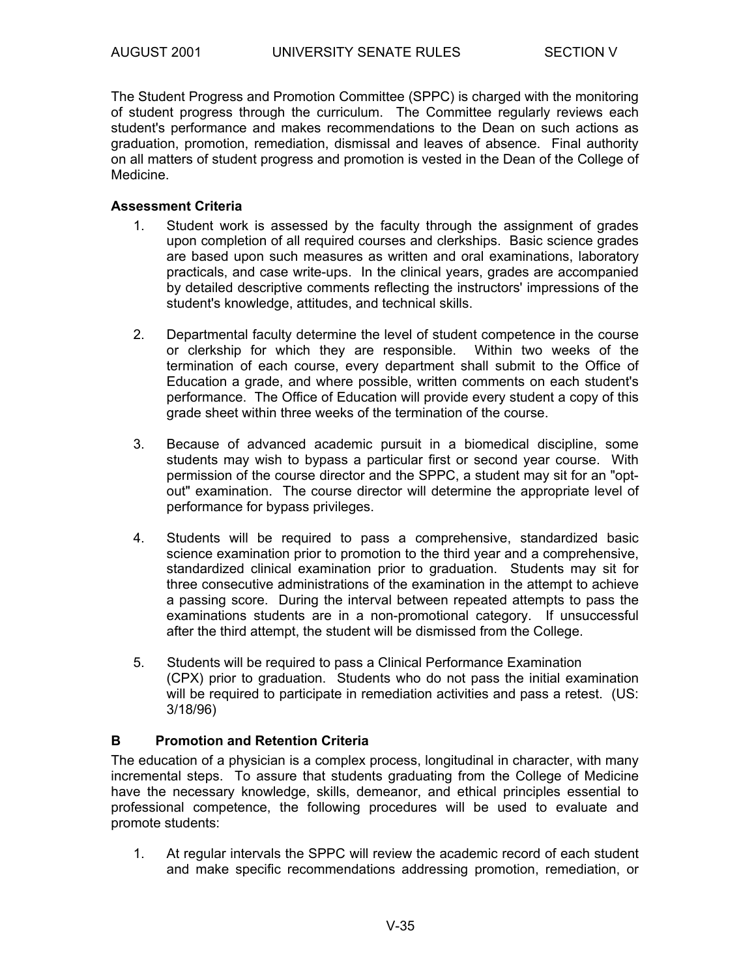The Student Progress and Promotion Committee (SPPC) is charged with the monitoring of student progress through the curriculum. The Committee regularly reviews each student's performance and makes recommendations to the Dean on such actions as graduation, promotion, remediation, dismissal and leaves of absence. Final authority on all matters of student progress and promotion is vested in the Dean of the College of Medicine.

#### **Assessment Criteria**

- 1. Student work is assessed by the faculty through the assignment of grades upon completion of all required courses and clerkships. Basic science grades are based upon such measures as written and oral examinations, laboratory practicals, and case write-ups. In the clinical years, grades are accompanied by detailed descriptive comments reflecting the instructors' impressions of the student's knowledge, attitudes, and technical skills.
- 2. Departmental faculty determine the level of student competence in the course or clerkship for which they are responsible. Within two weeks of the termination of each course, every department shall submit to the Office of Education a grade, and where possible, written comments on each student's performance. The Office of Education will provide every student a copy of this grade sheet within three weeks of the termination of the course.
- 3. Because of advanced academic pursuit in a biomedical discipline, some students may wish to bypass a particular first or second year course. With permission of the course director and the SPPC, a student may sit for an "optout" examination. The course director will determine the appropriate level of performance for bypass privileges.
- 4. Students will be required to pass a comprehensive, standardized basic science examination prior to promotion to the third year and a comprehensive, standardized clinical examination prior to graduation. Students may sit for three consecutive administrations of the examination in the attempt to achieve a passing score. During the interval between repeated attempts to pass the examinations students are in a non-promotional category. If unsuccessful after the third attempt, the student will be dismissed from the College.
- 5. Students will be required to pass a Clinical Performance Examination (CPX) prior to graduation. Students who do not pass the initial examination will be required to participate in remediation activities and pass a retest. (US: 3/18/96)

#### **B Promotion and Retention Criteria**

The education of a physician is a complex process, longitudinal in character, with many incremental steps. To assure that students graduating from the College of Medicine have the necessary knowledge, skills, demeanor, and ethical principles essential to professional competence, the following procedures will be used to evaluate and promote students:

 1. At regular intervals the SPPC will review the academic record of each student and make specific recommendations addressing promotion, remediation, or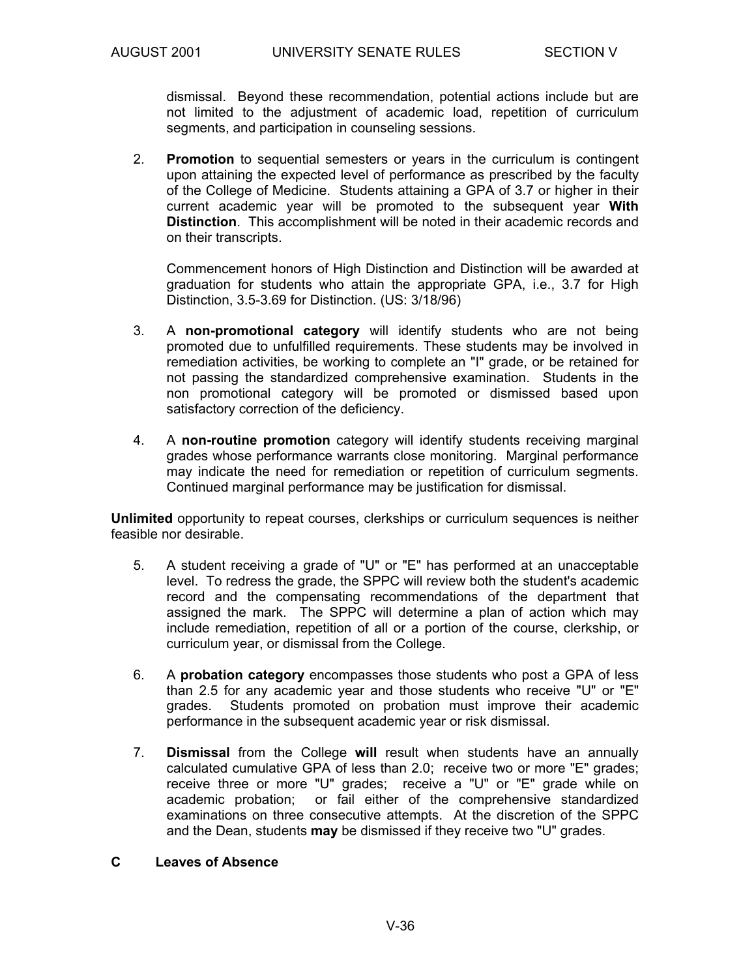dismissal. Beyond these recommendation, potential actions include but are not limited to the adjustment of academic load, repetition of curriculum segments, and participation in counseling sessions.

 2. **Promotion** to sequential semesters or years in the curriculum is contingent upon attaining the expected level of performance as prescribed by the faculty of the College of Medicine. Students attaining a GPA of 3.7 or higher in their current academic year will be promoted to the subsequent year **With Distinction**. This accomplishment will be noted in their academic records and on their transcripts.

 Commencement honors of High Distinction and Distinction will be awarded at graduation for students who attain the appropriate GPA, i.e., 3.7 for High Distinction, 3.5-3.69 for Distinction. (US: 3/18/96)

- 3. A **non-promotional category** will identify students who are not being promoted due to unfulfilled requirements. These students may be involved in remediation activities, be working to complete an "I" grade, or be retained for not passing the standardized comprehensive examination. Students in the non promotional category will be promoted or dismissed based upon satisfactory correction of the deficiency.
- 4. A **non-routine promotion** category will identify students receiving marginal grades whose performance warrants close monitoring. Marginal performance may indicate the need for remediation or repetition of curriculum segments. Continued marginal performance may be justification for dismissal.

**Unlimited** opportunity to repeat courses, clerkships or curriculum sequences is neither feasible nor desirable.

- 5. A student receiving a grade of "U" or "E" has performed at an unacceptable level. To redress the grade, the SPPC will review both the student's academic record and the compensating recommendations of the department that assigned the mark. The SPPC will determine a plan of action which may include remediation, repetition of all or a portion of the course, clerkship, or curriculum year, or dismissal from the College.
- 6. A **probation category** encompasses those students who post a GPA of less than 2.5 for any academic year and those students who receive "U" or "E" grades. Students promoted on probation must improve their academic performance in the subsequent academic year or risk dismissal.
- 7. **Dismissal** from the College **will** result when students have an annually calculated cumulative GPA of less than 2.0; receive two or more "E" grades; receive three or more "U" grades; receive a "U" or "E" grade while on academic probation; or fail either of the comprehensive standardized examinations on three consecutive attempts. At the discretion of the SPPC and the Dean, students **may** be dismissed if they receive two "U" grades.

#### **C Leaves of Absence**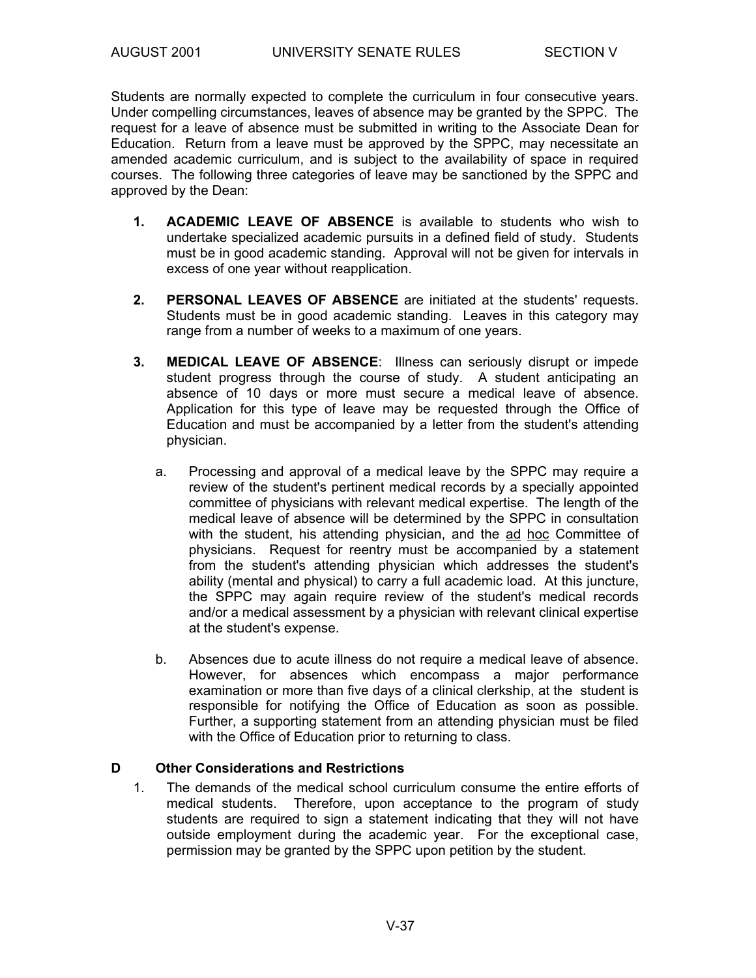Students are normally expected to complete the curriculum in four consecutive years. Under compelling circumstances, leaves of absence may be granted by the SPPC. The request for a leave of absence must be submitted in writing to the Associate Dean for Education. Return from a leave must be approved by the SPPC, may necessitate an amended academic curriculum, and is subject to the availability of space in required courses. The following three categories of leave may be sanctioned by the SPPC and approved by the Dean:

- **1. ACADEMIC LEAVE OF ABSENCE** is available to students who wish to undertake specialized academic pursuits in a defined field of study. Students must be in good academic standing. Approval will not be given for intervals in excess of one year without reapplication.
- **2. PERSONAL LEAVES OF ABSENCE** are initiated at the students' requests. Students must be in good academic standing. Leaves in this category may range from a number of weeks to a maximum of one years.
- **3. MEDICAL LEAVE OF ABSENCE**: Illness can seriously disrupt or impede student progress through the course of study. A student anticipating an absence of 10 days or more must secure a medical leave of absence. Application for this type of leave may be requested through the Office of Education and must be accompanied by a letter from the student's attending physician.
	- a. Processing and approval of a medical leave by the SPPC may require a review of the student's pertinent medical records by a specially appointed committee of physicians with relevant medical expertise. The length of the medical leave of absence will be determined by the SPPC in consultation with the student, his attending physician, and the ad hoc Committee of physicians. Request for reentry must be accompanied by a statement from the student's attending physician which addresses the student's ability (mental and physical) to carry a full academic load. At this juncture, the SPPC may again require review of the student's medical records and/or a medical assessment by a physician with relevant clinical expertise at the student's expense.
	- b. Absences due to acute illness do not require a medical leave of absence. However, for absences which encompass a major performance examination or more than five days of a clinical clerkship, at the student is responsible for notifying the Office of Education as soon as possible. Further, a supporting statement from an attending physician must be filed with the Office of Education prior to returning to class.

#### **D Other Considerations and Restrictions**

 1. The demands of the medical school curriculum consume the entire efforts of medical students. Therefore, upon acceptance to the program of study students are required to sign a statement indicating that they will not have outside employment during the academic year. For the exceptional case, permission may be granted by the SPPC upon petition by the student.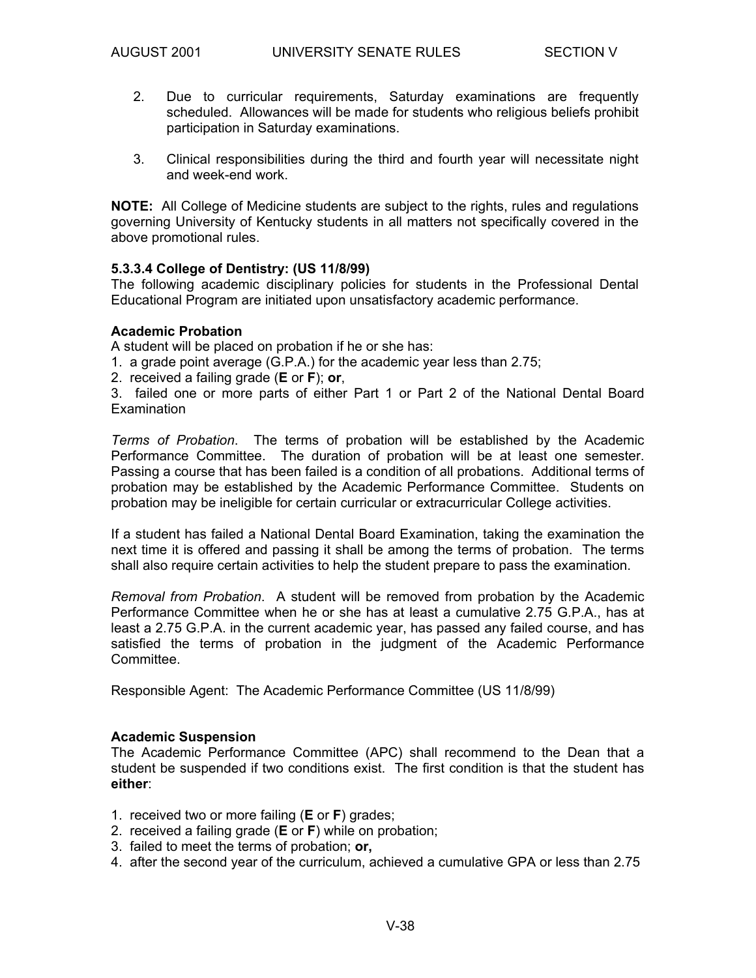- 2. Due to curricular requirements, Saturday examinations are frequently scheduled. Allowances will be made for students who religious beliefs prohibit participation in Saturday examinations.
- 3. Clinical responsibilities during the third and fourth year will necessitate night and week-end work.

**NOTE:** All College of Medicine students are subject to the rights, rules and regulations governing University of Kentucky students in all matters not specifically covered in the above promotional rules.

#### **5.3.3.4 College of Dentistry: (US 11/8/99)**

The following academic disciplinary policies for students in the Professional Dental Educational Program are initiated upon unsatisfactory academic performance.

#### **Academic Probation**

A student will be placed on probation if he or she has:

1. a grade point average (G.P.A.) for the academic year less than 2.75;

2. received a failing grade (**E** or **F**); **or**,

3. failed one or more parts of either Part 1 or Part 2 of the National Dental Board **Examination** 

*Terms of Probation*. The terms of probation will be established by the Academic Performance Committee. The duration of probation will be at least one semester. Passing a course that has been failed is a condition of all probations. Additional terms of probation may be established by the Academic Performance Committee. Students on probation may be ineligible for certain curricular or extracurricular College activities.

If a student has failed a National Dental Board Examination, taking the examination the next time it is offered and passing it shall be among the terms of probation. The terms shall also require certain activities to help the student prepare to pass the examination.

*Removal from Probation*. A student will be removed from probation by the Academic Performance Committee when he or she has at least a cumulative 2.75 G.P.A., has at least a 2.75 G.P.A. in the current academic year, has passed any failed course, and has satisfied the terms of probation in the judgment of the Academic Performance Committee.

Responsible Agent: The Academic Performance Committee (US 11/8/99)

#### **Academic Suspension**

The Academic Performance Committee (APC) shall recommend to the Dean that a student be suspended if two conditions exist. The first condition is that the student has **either**:

- 1. received two or more failing (**E** or **F**) grades;
- 2. received a failing grade (**E** or **F**) while on probation;
- 3. failed to meet the terms of probation; **or,**
- 4. after the second year of the curriculum, achieved a cumulative GPA or less than 2.75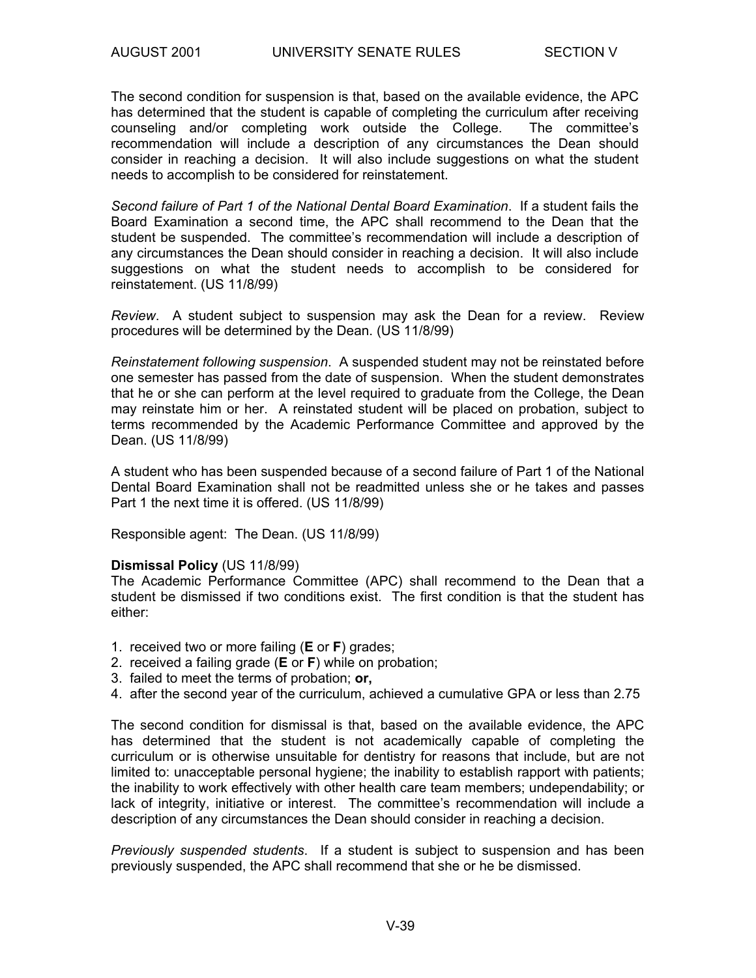The second condition for suspension is that, based on the available evidence, the APC has determined that the student is capable of completing the curriculum after receiving counseling and/or completing work outside the College. The committee's recommendation will include a description of any circumstances the Dean should consider in reaching a decision. It will also include suggestions on what the student needs to accomplish to be considered for reinstatement.

*Second failure of Part 1 of the National Dental Board Examination*. If a student fails the Board Examination a second time, the APC shall recommend to the Dean that the student be suspended. The committee's recommendation will include a description of any circumstances the Dean should consider in reaching a decision. It will also include suggestions on what the student needs to accomplish to be considered for reinstatement. (US 11/8/99)

*Review*. A student subject to suspension may ask the Dean for a review. Review procedures will be determined by the Dean. (US 11/8/99)

*Reinstatement following suspension*. A suspended student may not be reinstated before one semester has passed from the date of suspension. When the student demonstrates that he or she can perform at the level required to graduate from the College, the Dean may reinstate him or her. A reinstated student will be placed on probation, subject to terms recommended by the Academic Performance Committee and approved by the Dean. (US 11/8/99)

A student who has been suspended because of a second failure of Part 1 of the National Dental Board Examination shall not be readmitted unless she or he takes and passes Part 1 the next time it is offered. (US 11/8/99)

Responsible agent: The Dean. (US 11/8/99)

#### **Dismissal Policy** (US 11/8/99)

The Academic Performance Committee (APC) shall recommend to the Dean that a student be dismissed if two conditions exist. The first condition is that the student has either:

- 1. received two or more failing (**E** or **F**) grades;
- 2. received a failing grade (**E** or **F**) while on probation;
- 3. failed to meet the terms of probation; **or,**
- 4. after the second year of the curriculum, achieved a cumulative GPA or less than 2.75

The second condition for dismissal is that, based on the available evidence, the APC has determined that the student is not academically capable of completing the curriculum or is otherwise unsuitable for dentistry for reasons that include, but are not limited to: unacceptable personal hygiene; the inability to establish rapport with patients; the inability to work effectively with other health care team members; undependability; or lack of integrity, initiative or interest. The committee's recommendation will include a description of any circumstances the Dean should consider in reaching a decision.

*Previously suspended students*. If a student is subject to suspension and has been previously suspended, the APC shall recommend that she or he be dismissed.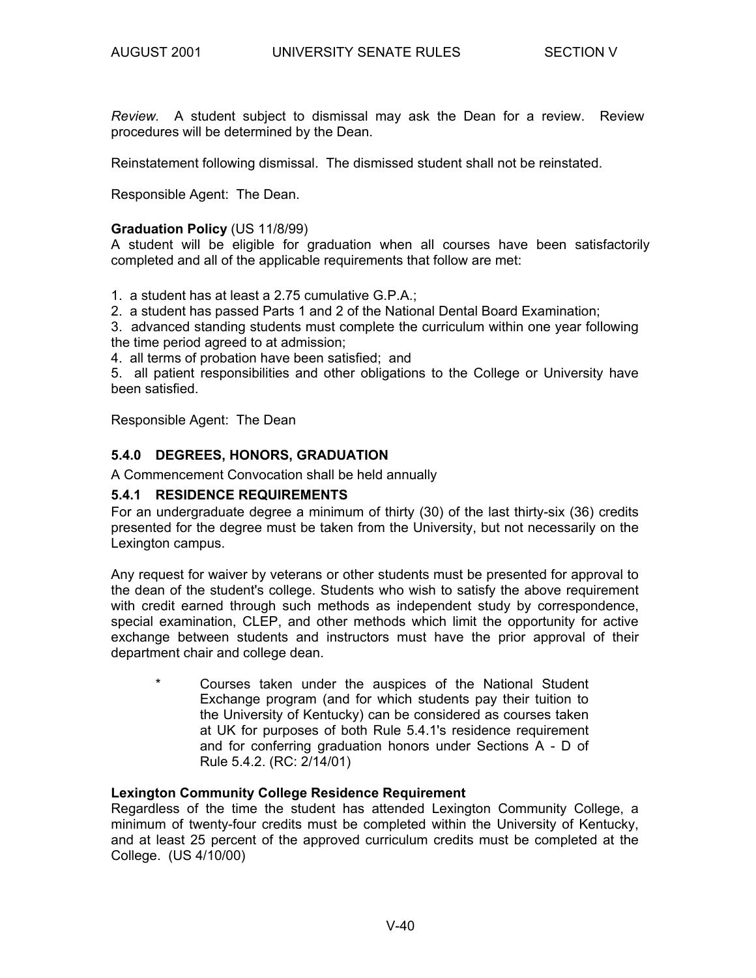*Review.* A student subject to dismissal may ask the Dean for a review. Review procedures will be determined by the Dean.

Reinstatement following dismissal. The dismissed student shall not be reinstated.

Responsible Agent: The Dean.

#### **Graduation Policy** (US 11/8/99)

A student will be eligible for graduation when all courses have been satisfactorily completed and all of the applicable requirements that follow are met:

1. a student has at least a 2.75 cumulative G.P.A.;

2. a student has passed Parts 1 and 2 of the National Dental Board Examination;

3. advanced standing students must complete the curriculum within one year following the time period agreed to at admission;

4. all terms of probation have been satisfied; and

5. all patient responsibilities and other obligations to the College or University have been satisfied.

Responsible Agent: The Dean

#### **5.4.0 DEGREES, HONORS, GRADUATION**

A Commencement Convocation shall be held annually

#### **5.4.1 RESIDENCE REQUIREMENTS**

For an undergraduate degree a minimum of thirty (30) of the last thirty-six (36) credits presented for the degree must be taken from the University, but not necessarily on the Lexington campus.

Any request for waiver by veterans or other students must be presented for approval to the dean of the student's college. Students who wish to satisfy the above requirement with credit earned through such methods as independent study by correspondence, special examination, CLEP, and other methods which limit the opportunity for active exchange between students and instructors must have the prior approval of their department chair and college dean.

\* Courses taken under the auspices of the National Student Exchange program (and for which students pay their tuition to the University of Kentucky) can be considered as courses taken at UK for purposes of both Rule 5.4.1's residence requirement and for conferring graduation honors under Sections A - D of Rule 5.4.2. (RC: 2/14/01)

#### **Lexington Community College Residence Requirement**

Regardless of the time the student has attended Lexington Community College, a minimum of twenty-four credits must be completed within the University of Kentucky, and at least 25 percent of the approved curriculum credits must be completed at the College. (US 4/10/00)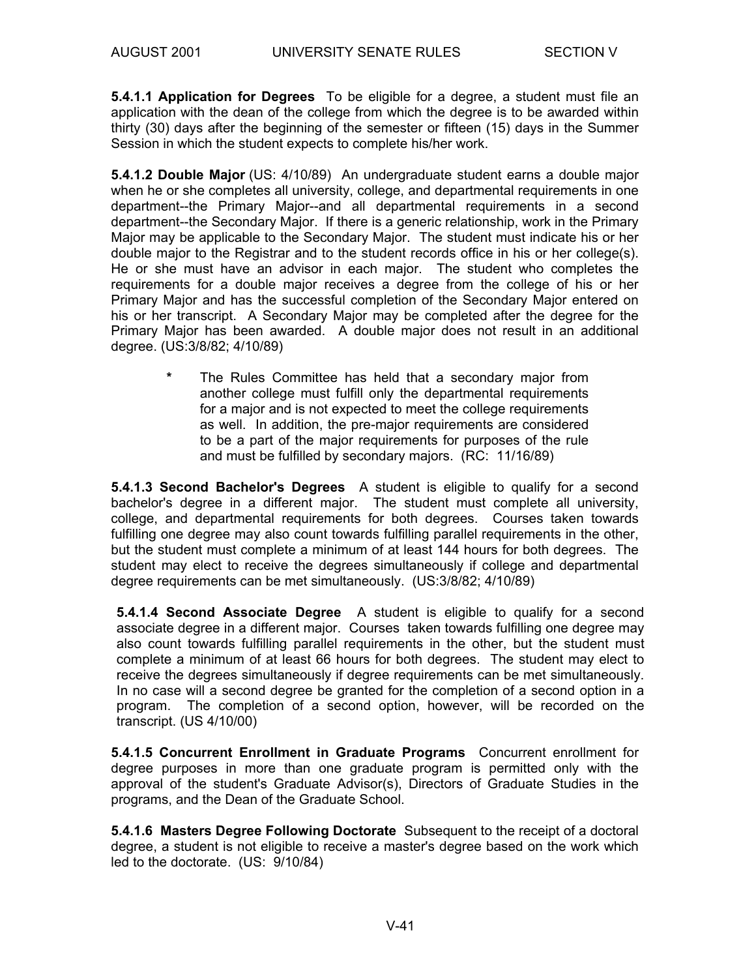**5.4.1.1 Application for Degrees** To be eligible for a degree, a student must file an application with the dean of the college from which the degree is to be awarded within thirty (30) days after the beginning of the semester or fifteen (15) days in the Summer Session in which the student expects to complete his/her work.

**5.4.1.2 Double Major** (US: 4/10/89) An undergraduate student earns a double major when he or she completes all university, college, and departmental requirements in one department--the Primary Major--and all departmental requirements in a second department--the Secondary Major. If there is a generic relationship, work in the Primary Major may be applicable to the Secondary Major. The student must indicate his or her double major to the Registrar and to the student records office in his or her college(s). He or she must have an advisor in each major. The student who completes the requirements for a double major receives a degree from the college of his or her Primary Major and has the successful completion of the Secondary Major entered on his or her transcript. A Secondary Major may be completed after the degree for the Primary Major has been awarded. A double major does not result in an additional degree. (US:3/8/82; 4/10/89)

> **\*** The Rules Committee has held that a secondary major from another college must fulfill only the departmental requirements for a major and is not expected to meet the college requirements as well. In addition, the pre-major requirements are considered to be a part of the major requirements for purposes of the rule and must be fulfilled by secondary majors. (RC: 11/16/89)

**5.4.1.3 Second Bachelor's Degrees** A student is eligible to qualify for a second bachelor's degree in a different major. The student must complete all university, college, and departmental requirements for both degrees. Courses taken towards fulfilling one degree may also count towards fulfilling parallel requirements in the other, but the student must complete a minimum of at least 144 hours for both degrees. The student may elect to receive the degrees simultaneously if college and departmental degree requirements can be met simultaneously. (US:3/8/82; 4/10/89)

**5.4.1.4 Second Associate Degree** A student is eligible to qualify for a second associate degree in a different major. Courses taken towards fulfilling one degree may also count towards fulfilling parallel requirements in the other, but the student must complete a minimum of at least 66 hours for both degrees. The student may elect to receive the degrees simultaneously if degree requirements can be met simultaneously. In no case will a second degree be granted for the completion of a second option in a program. The completion of a second option, however, will be recorded on the transcript. (US 4/10/00)

**5.4.1.5 Concurrent Enrollment in Graduate Programs** Concurrent enrollment for degree purposes in more than one graduate program is permitted only with the approval of the student's Graduate Advisor(s), Directors of Graduate Studies in the programs, and the Dean of the Graduate School.

**5.4.1.6 Masters Degree Following Doctorate** Subsequent to the receipt of a doctoral degree, a student is not eligible to receive a master's degree based on the work which led to the doctorate. (US: 9/10/84)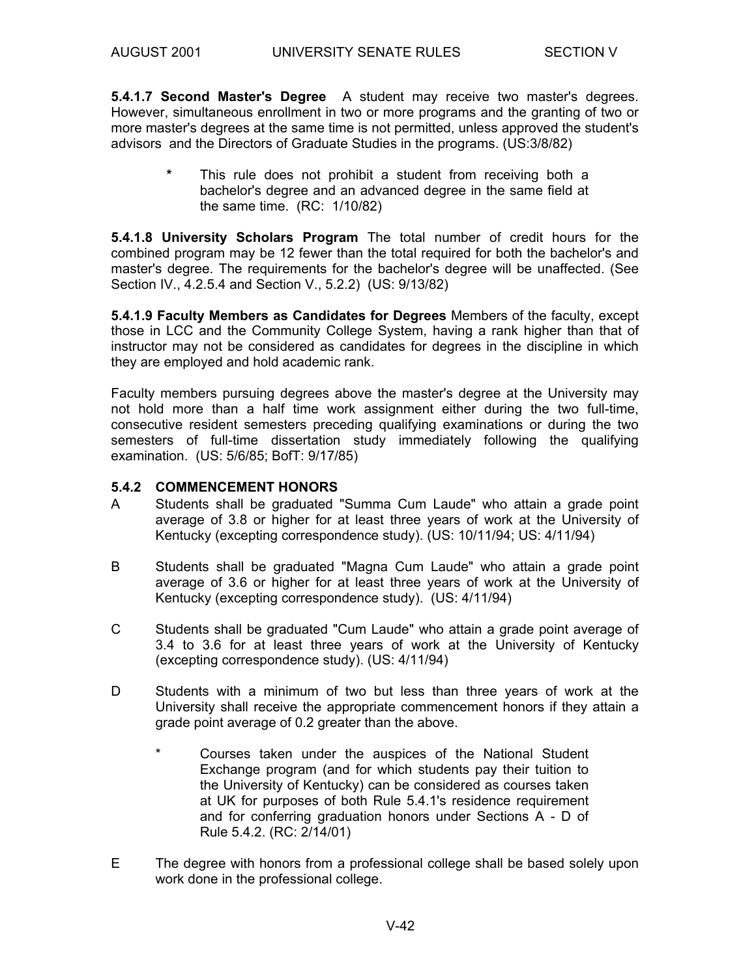**5.4.1.7 Second Master's Degree** A student may receive two master's degrees. However, simultaneous enrollment in two or more programs and the granting of two or more master's degrees at the same time is not permitted, unless approved the student's advisors and the Directors of Graduate Studies in the programs. (US:3/8/82)

> This rule does not prohibit a student from receiving both a bachelor's degree and an advanced degree in the same field at the same time. (RC: 1/10/82)

**5.4.1.8 University Scholars Program** The total number of credit hours for the combined program may be 12 fewer than the total required for both the bachelor's and master's degree. The requirements for the bachelor's degree will be unaffected. (See Section IV., 4.2.5.4 and Section V., 5.2.2) (US: 9/13/82)

**5.4.1.9 Faculty Members as Candidates for Degrees** Members of the faculty, except those in LCC and the Community College System, having a rank higher than that of instructor may not be considered as candidates for degrees in the discipline in which they are employed and hold academic rank.

Faculty members pursuing degrees above the master's degree at the University may not hold more than a half time work assignment either during the two full-time, consecutive resident semesters preceding qualifying examinations or during the two semesters of full-time dissertation study immediately following the qualifying examination. (US: 5/6/85; BofT: 9/17/85)

#### **5.4.2 COMMENCEMENT HONORS**

- A Students shall be graduated "Summa Cum Laude" who attain a grade point average of 3.8 or higher for at least three years of work at the University of Kentucky (excepting correspondence study). (US: 10/11/94; US: 4/11/94)
- B Students shall be graduated "Magna Cum Laude" who attain a grade point average of 3.6 or higher for at least three years of work at the University of Kentucky (excepting correspondence study). (US: 4/11/94)
- C Students shall be graduated "Cum Laude" who attain a grade point average of 3.4 to 3.6 for at least three years of work at the University of Kentucky (excepting correspondence study). (US: 4/11/94)
- D Students with a minimum of two but less than three years of work at the University shall receive the appropriate commencement honors if they attain a grade point average of 0.2 greater than the above.
	- \* Courses taken under the auspices of the National Student Exchange program (and for which students pay their tuition to the University of Kentucky) can be considered as courses taken at UK for purposes of both Rule 5.4.1's residence requirement and for conferring graduation honors under Sections A - D of Rule 5.4.2. (RC: 2/14/01)
- E The degree with honors from a professional college shall be based solely upon work done in the professional college.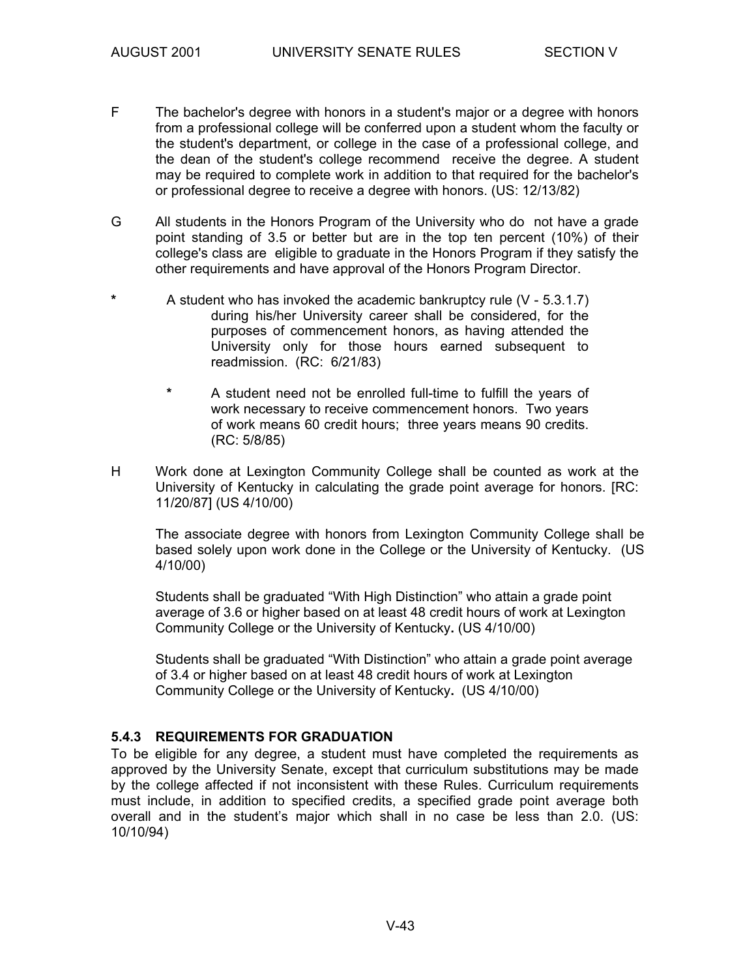- F The bachelor's degree with honors in a student's major or a degree with honors from a professional college will be conferred upon a student whom the faculty or the student's department, or college in the case of a professional college, and the dean of the student's college recommend receive the degree. A student may be required to complete work in addition to that required for the bachelor's or professional degree to receive a degree with honors. (US: 12/13/82)
- G All students in the Honors Program of the University who do not have a grade point standing of 3.5 or better but are in the top ten percent (10%) of their college's class are eligible to graduate in the Honors Program if they satisfy the other requirements and have approval of the Honors Program Director.
- **\*** A student who has invoked the academic bankruptcy rule (V 5.3.1.7) during his/her University career shall be considered, for the purposes of commencement honors, as having attended the University only for those hours earned subsequent to readmission. (RC: 6/21/83)
	- **\*** A student need not be enrolled full-time to fulfill the years of work necessary to receive commencement honors. Two years of work means 60 credit hours; three years means 90 credits. (RC: 5/8/85)
- H Work done at Lexington Community College shall be counted as work at the University of Kentucky in calculating the grade point average for honors. [RC: 11/20/87] (US 4/10/00)

The associate degree with honors from Lexington Community College shall be based solely upon work done in the College or the University of Kentucky. (US 4/10/00)

Students shall be graduated "With High Distinction" who attain a grade point average of 3.6 or higher based on at least 48 credit hours of work at Lexington Community College or the University of Kentucky**.** (US 4/10/00)

Students shall be graduated "With Distinction" who attain a grade point average of 3.4 or higher based on at least 48 credit hours of work at Lexington Community College or the University of Kentucky**.** (US 4/10/00)

#### **5.4.3 REQUIREMENTS FOR GRADUATION**

To be eligible for any degree, a student must have completed the requirements as approved by the University Senate, except that curriculum substitutions may be made by the college affected if not inconsistent with these Rules. Curriculum requirements must include, in addition to specified credits, a specified grade point average both overall and in the student's major which shall in no case be less than 2.0. (US: 10/10/94)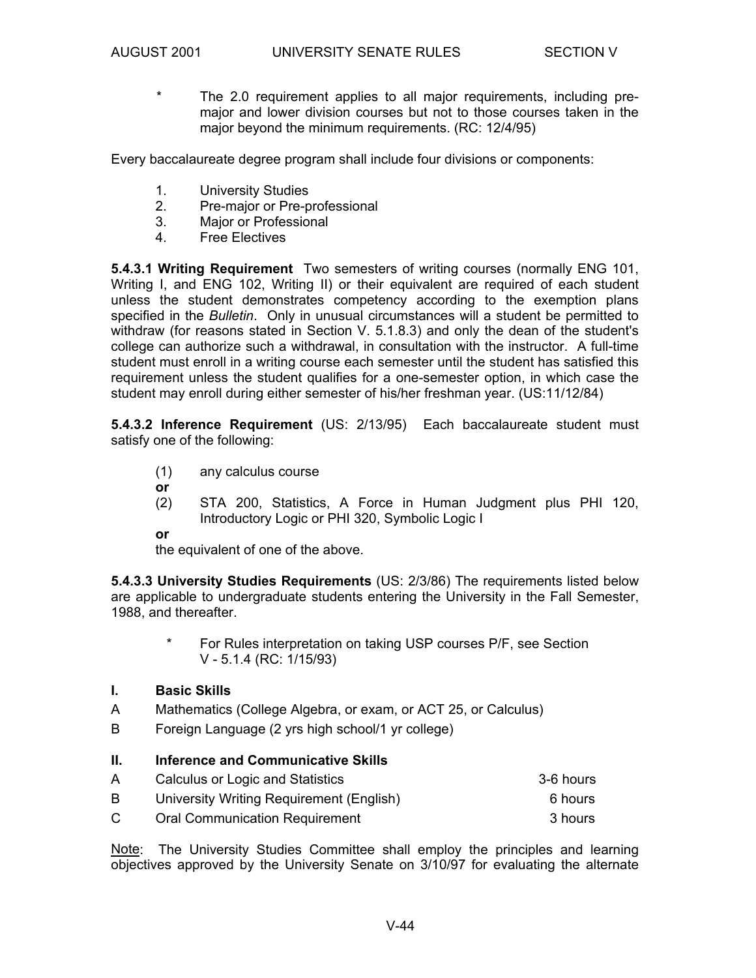\* The 2.0 requirement applies to all major requirements, including premajor and lower division courses but not to those courses taken in the major beyond the minimum requirements. (RC: 12/4/95)

Every baccalaureate degree program shall include four divisions or components:

- 1. University Studies
- 2. Pre-major or Pre-professional
- 3. Major or Professional
- 4. Free Electives

**5.4.3.1 Writing Requirement** Two semesters of writing courses (normally ENG 101, Writing I, and ENG 102, Writing II) or their equivalent are required of each student unless the student demonstrates competency according to the exemption plans specified in the *Bulletin*. Only in unusual circumstances will a student be permitted to withdraw (for reasons stated in Section V. 5.1.8.3) and only the dean of the student's college can authorize such a withdrawal, in consultation with the instructor. A full-time student must enroll in a writing course each semester until the student has satisfied this requirement unless the student qualifies for a one-semester option, in which case the student may enroll during either semester of his/her freshman year. (US:11/12/84)

**5.4.3.2 Inference Requirement** (US: 2/13/95) Each baccalaureate student must satisfy one of the following:

- (1) any calculus course
- **or**
- (2) STA 200, Statistics, A Force in Human Judgment plus PHI 120, Introductory Logic or PHI 320, Symbolic Logic I

**or** 

the equivalent of one of the above.

**5.4.3.3 University Studies Requirements** (US: 2/3/86) The requirements listed below are applicable to undergraduate students entering the University in the Fall Semester, 1988, and thereafter.

> For Rules interpretation on taking USP courses P/F, see Section V - 5.1.4 (RC: 1/15/93)

## **I. Basic Skills**

- A Mathematics (College Algebra, or exam, or ACT 25, or Calculus)
- B Foreign Language (2 yrs high school/1 yr college)

#### **II. Inference and Communicative Skills**

| A | Calculus or Logic and Statistics         | 3-6 hours |
|---|------------------------------------------|-----------|
| B | University Writing Requirement (English) | 6 hours   |
| C | <b>Oral Communication Requirement</b>    | 3 hours   |

Note: The University Studies Committee shall employ the principles and learning objectives approved by the University Senate on 3/10/97 for evaluating the alternate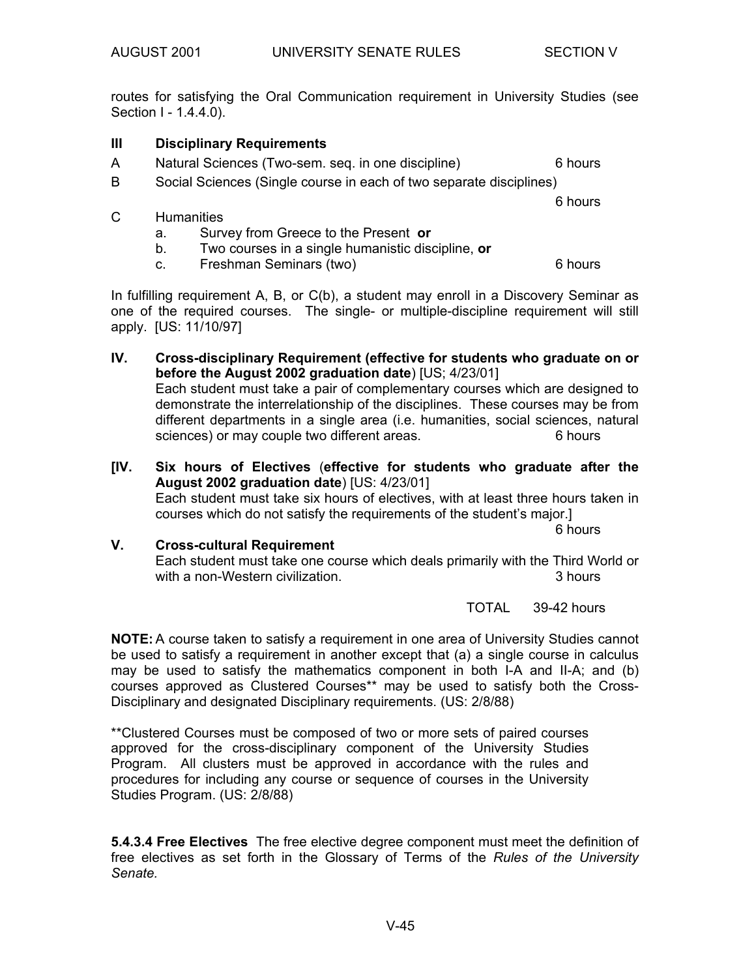routes for satisfying the Oral Communication requirement in University Studies (see Section I - 1.4.4.0).

# **III Disciplinary Requirements**

- A Natural Sciences (Two-sem. seq. in one discipline) 6 hours
- B Social Sciences (Single course in each of two separate disciplines)

#### C Humanities

- a. Survey from Greece to the Present **or**
- b. Two courses in a single humanistic discipline, **or**
- c. Freshman Seminars (two) 6 hours

In fulfilling requirement A, B, or C(b), a student may enroll in a Discovery Seminar as one of the required courses. The single- or multiple-discipline requirement will still apply. [US: 11/10/97]

**IV. Cross-disciplinary Requirement (effective for students who graduate on or before the August 2002 graduation date**) [US; 4/23/01] Each student must take a pair of complementary courses which are designed to demonstrate the interrelationship of the disciplines. These courses may be from different departments in a single area (i.e. humanities, social sciences, natural sciences) or may couple two different areas. 6 hours

**[IV. Six hours of Electives** (**effective for students who graduate after the August 2002 graduation date**) [US: 4/23/01] Each student must take six hours of electives, with at least three hours taken in courses which do not satisfy the requirements of the student's major.] 6 hours

**V. Cross-cultural Requirement**  Each student must take one course which deals primarily with the Third World or with a non-Western civilization. The same state of the state of the state of the state of the state of the state of the state of the state of the state of the state of the state of the state of the state of the state of th

TOTAL 39-42 hours

**NOTE:** A course taken to satisfy a requirement in one area of University Studies cannot be used to satisfy a requirement in another except that (a) a single course in calculus may be used to satisfy the mathematics component in both I-A and II-A; and (b) courses approved as Clustered Courses\*\* may be used to satisfy both the Cross-Disciplinary and designated Disciplinary requirements. (US: 2/8/88)

\*\*Clustered Courses must be composed of two or more sets of paired courses approved for the cross-disciplinary component of the University Studies Program. All clusters must be approved in accordance with the rules and procedures for including any course or sequence of courses in the University Studies Program. (US: 2/8/88)

**5.4.3.4 Free Electives** The free elective degree component must meet the definition of free electives as set forth in the Glossary of Terms of the *Rules of the University Senate.* 

6 hours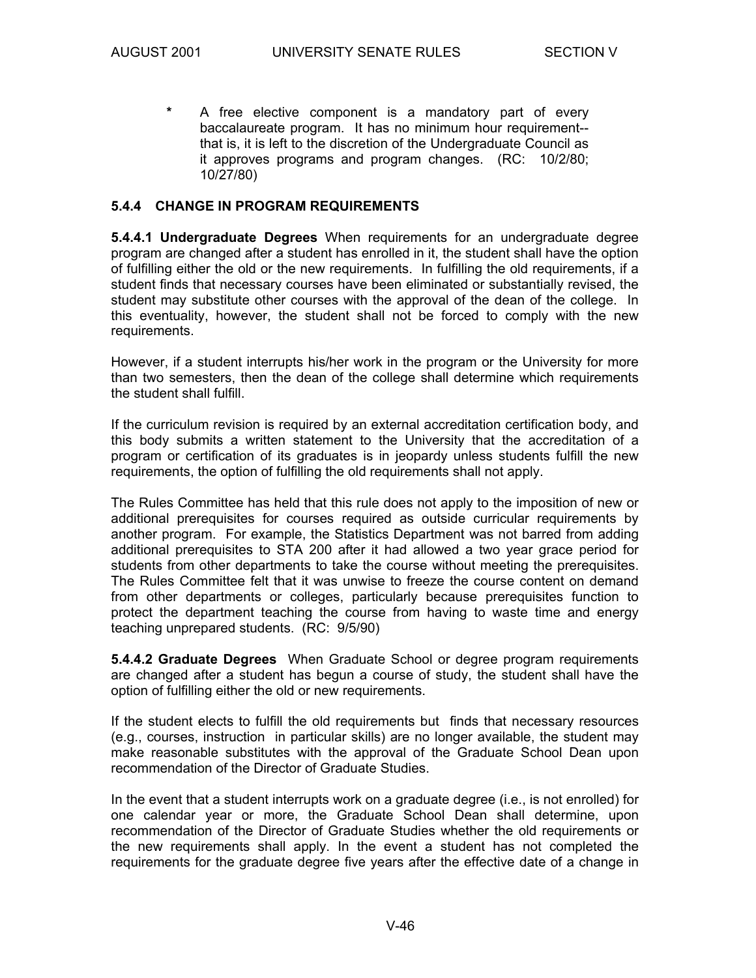**\*** A free elective component is a mandatory part of every baccalaureate program. It has no minimum hour requirement- that is, it is left to the discretion of the Undergraduate Council as it approves programs and program changes. (RC: 10/2/80; 10/27/80)

#### **5.4.4 CHANGE IN PROGRAM REQUIREMENTS**

**5.4.4.1 Undergraduate Degrees** When requirements for an undergraduate degree program are changed after a student has enrolled in it, the student shall have the option of fulfilling either the old or the new requirements. In fulfilling the old requirements, if a student finds that necessary courses have been eliminated or substantially revised, the student may substitute other courses with the approval of the dean of the college. In this eventuality, however, the student shall not be forced to comply with the new requirements.

However, if a student interrupts his/her work in the program or the University for more than two semesters, then the dean of the college shall determine which requirements the student shall fulfill.

If the curriculum revision is required by an external accreditation certification body, and this body submits a written statement to the University that the accreditation of a program or certification of its graduates is in jeopardy unless students fulfill the new requirements, the option of fulfilling the old requirements shall not apply.

The Rules Committee has held that this rule does not apply to the imposition of new or additional prerequisites for courses required as outside curricular requirements by another program. For example, the Statistics Department was not barred from adding additional prerequisites to STA 200 after it had allowed a two year grace period for students from other departments to take the course without meeting the prerequisites. The Rules Committee felt that it was unwise to freeze the course content on demand from other departments or colleges, particularly because prerequisites function to protect the department teaching the course from having to waste time and energy teaching unprepared students. (RC: 9/5/90)

**5.4.4.2 Graduate Degrees** When Graduate School or degree program requirements are changed after a student has begun a course of study, the student shall have the option of fulfilling either the old or new requirements.

If the student elects to fulfill the old requirements but finds that necessary resources (e.g., courses, instruction in particular skills) are no longer available, the student may make reasonable substitutes with the approval of the Graduate School Dean upon recommendation of the Director of Graduate Studies.

In the event that a student interrupts work on a graduate degree (i.e., is not enrolled) for one calendar year or more, the Graduate School Dean shall determine, upon recommendation of the Director of Graduate Studies whether the old requirements or the new requirements shall apply. In the event a student has not completed the requirements for the graduate degree five years after the effective date of a change in